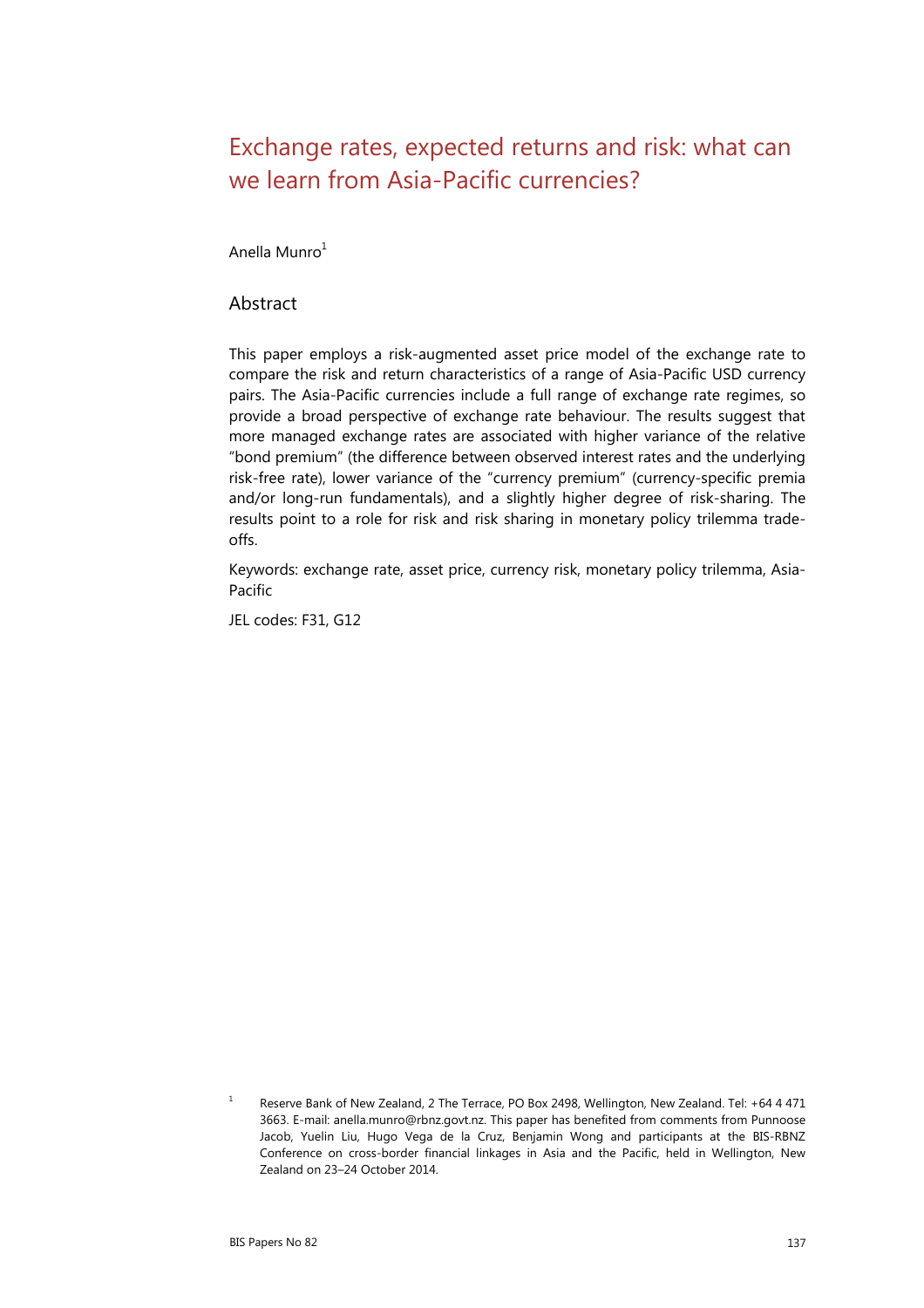# Exchange rates, expected returns and risk: what can we learn from Asia-Pacific currencies?

Anella Munro<sup>[1](#page-0-0)</sup>

#### Abstract

This paper employs a risk-augmented asset price model of the exchange rate to compare the risk and return characteristics of a range of Asia-Pacific USD currency pairs. The Asia-Pacific currencies include a full range of exchange rate regimes, so provide a broad perspective of exchange rate behaviour. The results suggest that more managed exchange rates are associated with higher variance of the relative "bond premium" (the difference between observed interest rates and the underlying risk-free rate), lower variance of the "currency premium" (currency-specific premia and/or long-run fundamentals), and a slightly higher degree of risk-sharing. The results point to a role for risk and risk sharing in monetary policy trilemma tradeoffs.

Keywords: exchange rate, asset price, currency risk, monetary policy trilemma, Asia-Pacific

JEL codes: F31, G12

<span id="page-0-0"></span><sup>1</sup> Reserve Bank of New Zealand, 2 The Terrace, PO Box 2498, Wellington, New Zealand. Tel: +64 4 471 3663. E-mail: anella.munro@rbnz.govt.nz. This paper has benefited from comments from Punnoose Jacob, Yuelin Liu, Hugo Vega de la Cruz, Benjamin Wong and participants at the BIS-RBNZ Conference on cross-border financial linkages in Asia and the Pacific, held in Wellington, New Zealand on 23–24 October 2014.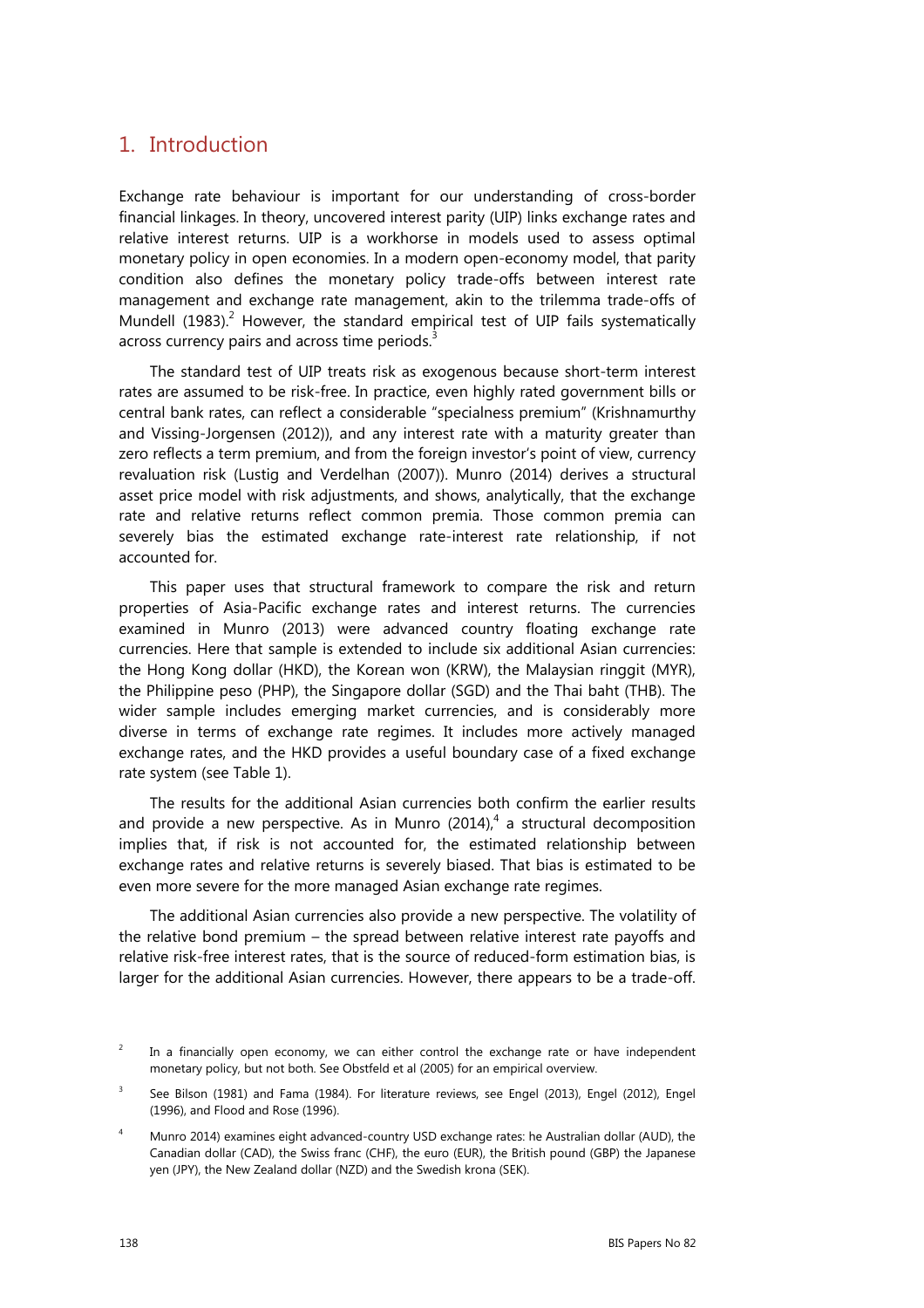## 1. Introduction

Exchange rate behaviour is important for our understanding of cross-border financial linkages. In theory, uncovered interest parity (UIP) links exchange rates and relative interest returns. UIP is a workhorse in models used to assess optimal monetary policy in open economies. In a modern open-economy model, that parity condition also defines the monetary policy trade-offs between interest rate management and exchange rate management, akin to the trilemma trade-offs of Mundell (1983).<sup>2</sup> However, the standard empirical test of UIP fails systematically across currency pairs and across time periods.<sup>3</sup>

The standard test of UIP treats risk as exogenous because short-term interest rates are assumed to be risk-free. In practice, even highly rated government bills or central bank rates, can reflect a considerable "specialness premium" (Krishnamurthy and Vissing-Jorgensen (2012)), and any interest rate with a maturity greater than zero reflects a term premium, and from the foreign investor's point of view, currency revaluation risk (Lustig and Verdelhan (2007)). Munro (2014) derives a structural asset price model with risk adjustments, and shows, analytically, that the exchange rate and relative returns reflect common premia. Those common premia can severely bias the estimated exchange rate-interest rate relationship, if not accounted for.

This paper uses that structural framework to compare the risk and return properties of Asia-Pacific exchange rates and interest returns. The currencies examined in Munro (2013) were advanced country floating exchange rate currencies. Here that sample is extended to include six additional Asian currencies: the Hong Kong dollar (HKD), the Korean won (KRW), the Malaysian ringgit (MYR), the Philippine peso (PHP), the Singapore dollar (SGD) and the Thai baht (THB). The wider sample includes emerging market currencies, and is considerably more diverse in terms of exchange rate regimes. It includes more actively managed exchange rates, and the HKD provides a useful boundary case of a fixed exchange rate system (see Table 1).

The results for the additional Asian currencies both confirm the earlier results and provide a new perspective. As in Munro (2014),<sup>4</sup> a structural decomposition implies that, if risk is not accounted for, the estimated relationship between exchange rates and relative returns is severely biased. That bias is estimated to be even more severe for the more managed Asian exchange rate regimes.

The additional Asian currencies also provide a new perspective. The volatility of the relative bond premium – the spread between relative interest rate payoffs and relative risk-free interest rates, that is the source of reduced-form estimation bias, is larger for the additional Asian currencies. However, there appears to be a trade-off.

<sup>2</sup> In a financially open economy, we can either control the exchange rate or have independent monetary policy, but not both. See Obstfeld et al (2005) for an empirical overview.

<sup>3</sup> See Bilson (1981) and Fama (1984). For literature reviews, see Engel (2013), Engel (2012), Engel (1996), and Flood and Rose (1996).

<sup>4</sup> Munro 2014) examines eight advanced-country USD exchange rates: he Australian dollar (AUD), the Canadian dollar (CAD), the Swiss franc (CHF), the euro (EUR), the British pound (GBP) the Japanese yen (JPY), the New Zealand dollar (NZD) and the Swedish krona (SEK).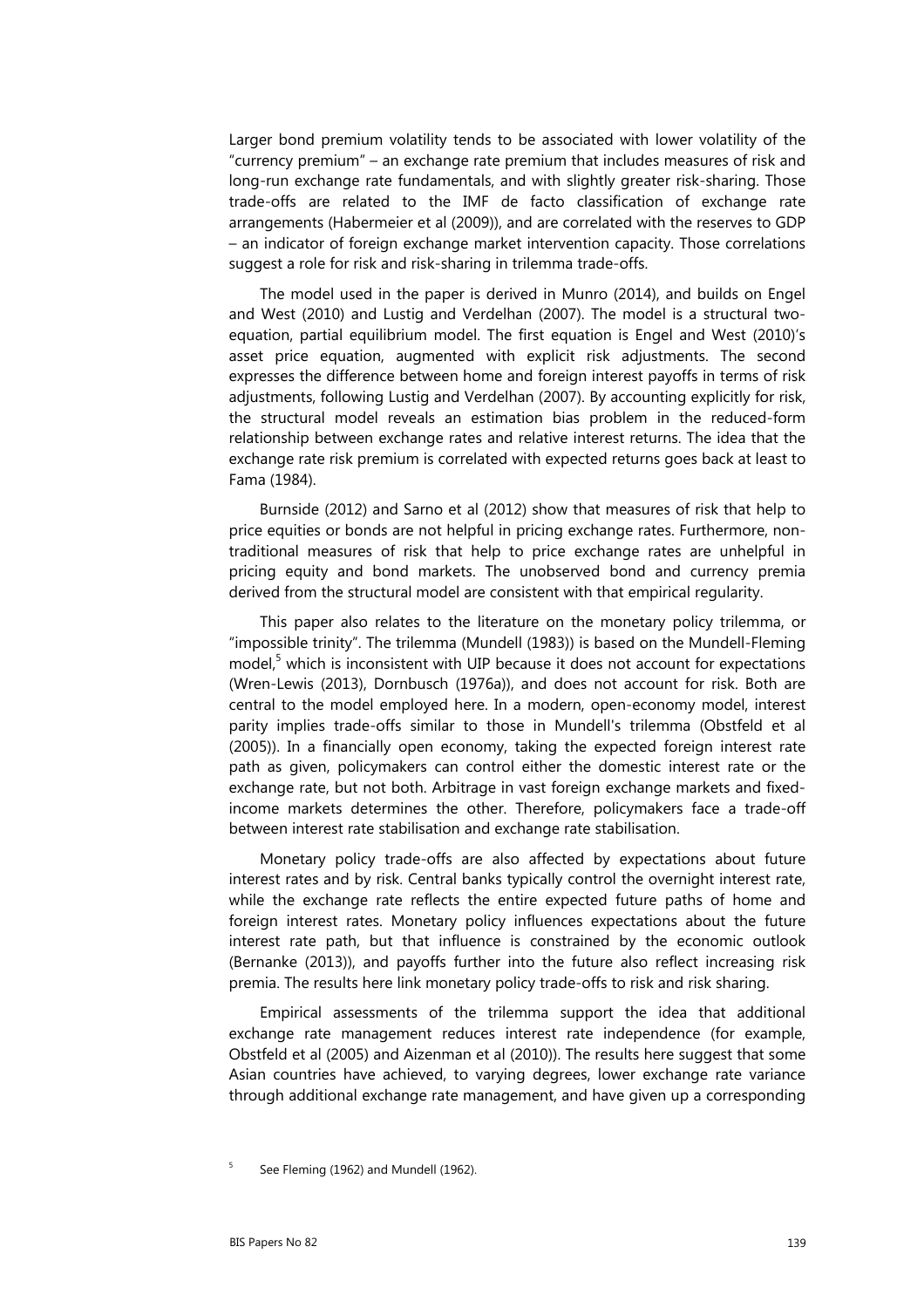Larger bond premium volatility tends to be associated with lower volatility of the "currency premium" – an exchange rate premium that includes measures of risk and long-run exchange rate fundamentals, and with slightly greater risk-sharing. Those trade-offs are related to the IMF de facto classification of exchange rate arrangements (Habermeier et al (2009)), and are correlated with the reserves to GDP – an indicator of foreign exchange market intervention capacity. Those correlations suggest a role for risk and risk-sharing in trilemma trade-offs.

The model used in the paper is derived in Munro (2014), and builds on Engel and West (2010) and Lustig and Verdelhan (2007). The model is a structural twoequation, partial equilibrium model. The first equation is Engel and West (2010)'s asset price equation, augmented with explicit risk adjustments. The second expresses the difference between home and foreign interest payoffs in terms of risk adjustments, following Lustig and Verdelhan (2007). By accounting explicitly for risk, the structural model reveals an estimation bias problem in the reduced-form relationship between exchange rates and relative interest returns. The idea that the exchange rate risk premium is correlated with expected returns goes back at least to Fama (1984).

Burnside (2012) and Sarno et al (2012) show that measures of risk that help to price equities or bonds are not helpful in pricing exchange rates. Furthermore, nontraditional measures of risk that help to price exchange rates are unhelpful in pricing equity and bond markets. The unobserved bond and currency premia derived from the structural model are consistent with that empirical regularity.

This paper also relates to the literature on the monetary policy trilemma, or "impossible trinity". The trilemma (Mundell (1983)) is based on the Mundell-Fleming model,<sup>5</sup> which is inconsistent with UIP because it does not account for expectations (Wren-Lewis (2013), Dornbusch (1976a)), and does not account for risk. Both are central to the model employed here. In a modern, open-economy model, interest parity implies trade-offs similar to those in Mundell's trilemma (Obstfeld et al (2005)). In a financially open economy, taking the expected foreign interest rate path as given, policymakers can control either the domestic interest rate or the exchange rate, but not both. Arbitrage in vast foreign exchange markets and fixedincome markets determines the other. Therefore, policymakers face a trade-off between interest rate stabilisation and exchange rate stabilisation.

Monetary policy trade-offs are also affected by expectations about future interest rates and by risk. Central banks typically control the overnight interest rate, while the exchange rate reflects the entire expected future paths of home and foreign interest rates. Monetary policy influences expectations about the future interest rate path, but that influence is constrained by the economic outlook (Bernanke (2013)), and payoffs further into the future also reflect increasing risk premia. The results here link monetary policy trade-offs to risk and risk sharing.

Empirical assessments of the trilemma support the idea that additional exchange rate management reduces interest rate independence (for example, Obstfeld et al (2005) and Aizenman et al (2010)). The results here suggest that some Asian countries have achieved, to varying degrees, lower exchange rate variance through additional exchange rate management, and have given up a corresponding

<sup>5</sup> See Fleming (1962) and Mundell (1962).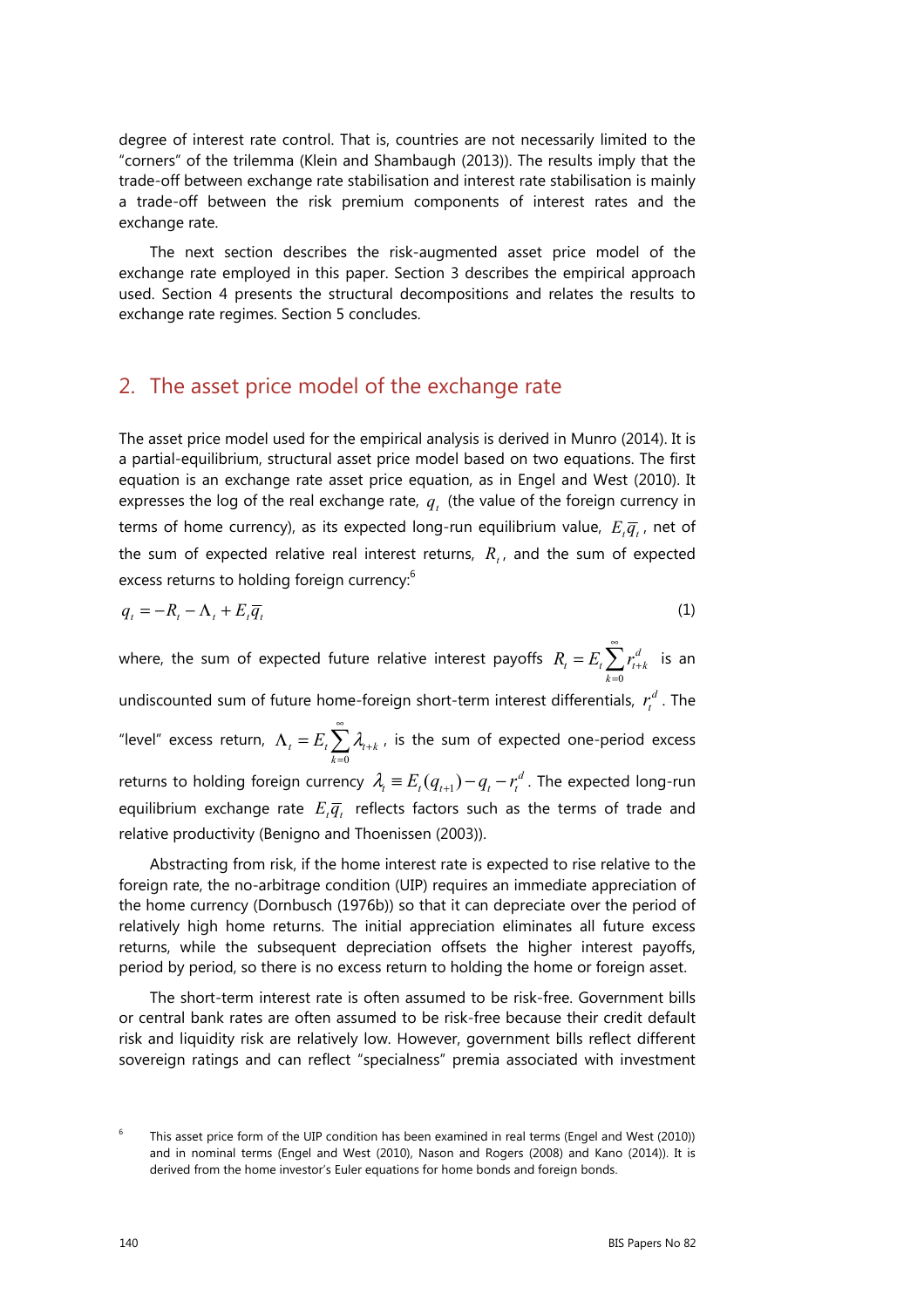degree of interest rate control. That is, countries are not necessarily limited to the "corners" of the trilemma (Klein and Shambaugh (2013)). The results imply that the trade-off between exchange rate stabilisation and interest rate stabilisation is mainly a trade-off between the risk premium components of interest rates and the exchange rate.

The next section describes the risk-augmented asset price model of the exchange rate employed in this paper. Section 3 describes the empirical approach used. Section 4 presents the structural decompositions and relates the results to exchange rate regimes. Section 5 concludes.

### 2. The asset price model of the exchange rate

The asset price model used for the empirical analysis is derived in Munro (2014). It is a partial-equilibrium, structural asset price model based on two equations. The first equation is an exchange rate asset price equation, as in Engel and West (2010). It expresses the log of the real exchange rate,  $q_i$  (the value of the foreign currency in terms of home currency), as its expected long-run equilibrium value,  $E_i \overline{q}_i$ , net of the sum of expected relative real interest returns,  $R_t$ , and the sum of expected excess returns to holding foreign currency:<sup>6</sup>

$$
q_t = -R_t - \Lambda_t + E_t \overline{q}_t \tag{1}
$$

where, the sum of expected future relative interest payoffs 0 *d*  $t = \frac{L_t}{\sqrt{L}} t_{t+k}$ *k*  $R_i = E_i$ ,  $r_i$ ∞ +  $=E_t\sum_{k=0}r_{t+k}^d$  is an undiscounted sum of future home-foreign short-term interest differentials,  $\, r^{d}_{t}$  . The "level" excess return, 0  $t - L_t \sum_{t+k} \lambda_{t+k}$ *k*  $E_{\iota} \sum_{\lambda_{\iota}} \lambda_{\iota}$ ∞ +  $\Lambda_{\iota}=E_{\iota}\sum_{k=0}\lambda_{\iota+k}$  , is the sum of expected one-period excess returns to holding foreign currency  $\lambda_t \equiv E_t(q_{t+1}) - q_t - r_t^d$ . The expected long-run equilibrium exchange rate  $E_i \overline{q_i}$  reflects factors such as the terms of trade and relative productivity (Benigno and Thoenissen (2003)).

Abstracting from risk, if the home interest rate is expected to rise relative to the foreign rate, the no-arbitrage condition (UIP) requires an immediate appreciation of the home currency (Dornbusch (1976b)) so that it can depreciate over the period of relatively high home returns. The initial appreciation eliminates all future excess returns, while the subsequent depreciation offsets the higher interest payoffs, period by period, so there is no excess return to holding the home or foreign asset.

The short-term interest rate is often assumed to be risk-free. Government bills or central bank rates are often assumed to be risk-free because their credit default risk and liquidity risk are relatively low. However, government bills reflect different sovereign ratings and can reflect "specialness" premia associated with investment

<sup>6</sup> This asset price form of the UIP condition has been examined in real terms (Engel and West (2010)) and in nominal terms (Engel and West (2010), Nason and Rogers (2008) and Kano (2014)). It is derived from the home investor's Euler equations for home bonds and foreign bonds.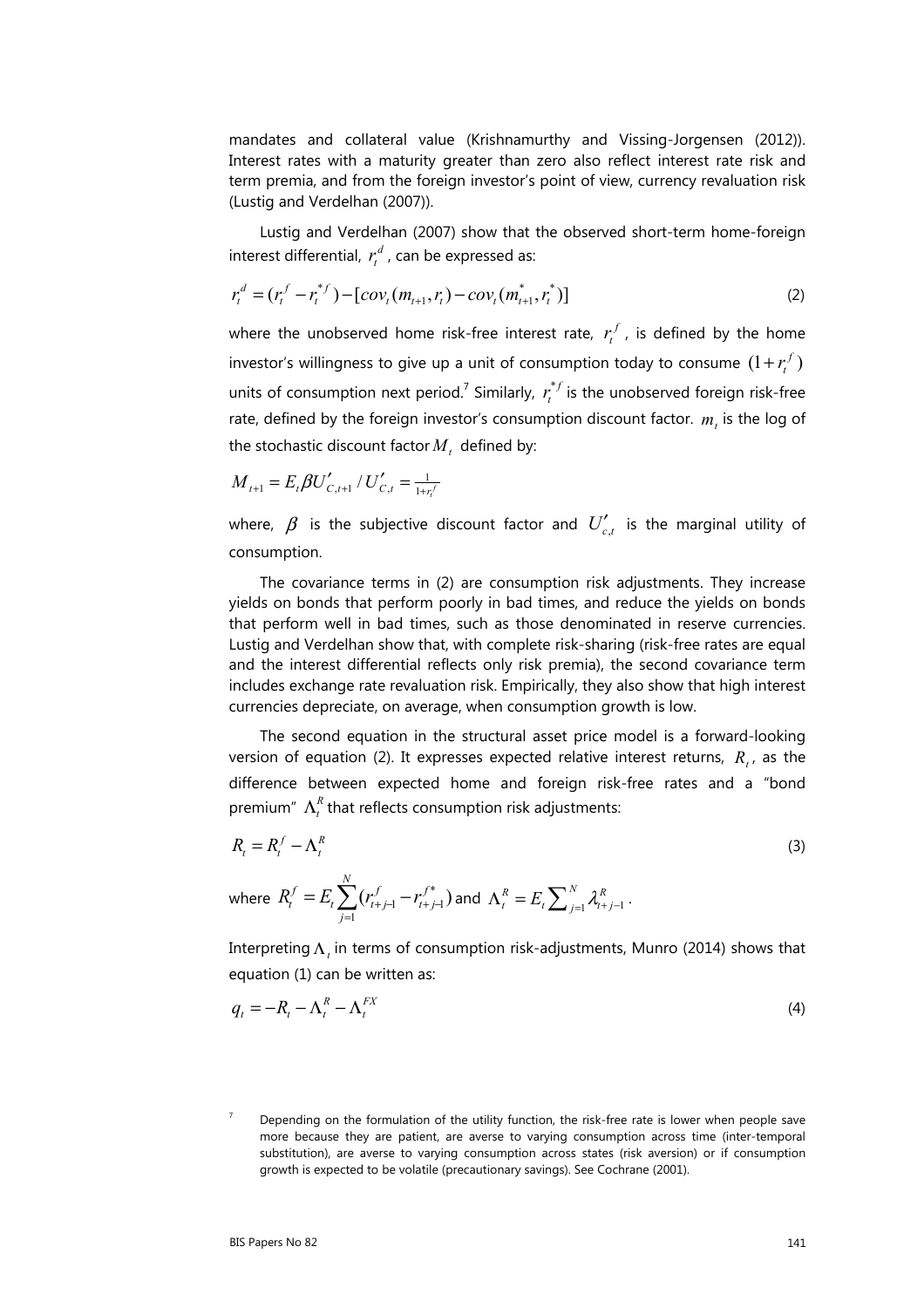mandates and collateral value (Krishnamurthy and Vissing-Jorgensen (2012)). Interest rates with a maturity greater than zero also reflect interest rate risk and term premia, and from the foreign investor's point of view, currency revaluation risk (Lustig and Verdelhan (2007)).

Lustig and Verdelhan (2007) show that the observed short-term home-foreign interest differential,  $r_t^d$  , can be expressed as:

$$
r_t^d = (r_t^f - r_t^{*f}) - [cov_t(m_{t+1}, r_t) - cov_t(m_{t+1}^*, r_t^*)]
$$
\n(2)

where the unobserved home risk-free interest rate,  $r_t^f$  , is defined by the home investor's willingness to give up a unit of consumption today to consume  $(1 + r_t^f)$ units of consumption next period.<sup>7</sup> Similarly,  $r_t^{*f}$  is the unobserved foreign risk-free rate, defined by the foreign investor's consumption discount factor.  $m<sub>t</sub>$  is the log of the stochastic discount factor  $M_t$ , defined by:

$$
M_{t+1} = E_t \beta U'_{C,t+1} / U'_{C,t} = \frac{1}{1 + r_t^f}
$$

where,  $\beta$  is the subjective discount factor and  $U_{c,t}'$  is the marginal utility of consumption.

The covariance terms in (2) are consumption risk adjustments. They increase yields on bonds that perform poorly in bad times, and reduce the yields on bonds that perform well in bad times, such as those denominated in reserve currencies. Lustig and Verdelhan show that, with complete risk-sharing (risk-free rates are equal and the interest differential reflects only risk premia), the second covariance term includes exchange rate revaluation risk. Empirically, they also show that high interest currencies depreciate, on average, when consumption growth is low.

The second equation in the structural asset price model is a forward-looking version of equation (2). It expresses expected relative interest returns,  $R_t$ , as the difference between expected home and foreign risk-free rates and a "bond premium"  $\Lambda_t^R$  that reflects consumption risk adjustments:

$$
R_{t} = R_{t}^{f} - \Lambda_{t}^{R}
$$
  
\nwhere  $R_{t}^{f} = E_{t} \sum_{j=1}^{N} (r_{t+j-1}^{f} - r_{t+j-1}^{f^{*}})$  and  $\Lambda_{t}^{R} = E_{t} \sum_{j=1}^{N} \lambda_{t+j-1}^{R}$ . (3)

InterpretingΛ*<sup>t</sup>* in terms of consumption risk-adjustments, Munro (2014) shows that equation (1) can be written as:

$$
q_t = -R_t - \Lambda_t^R - \Lambda_t^{FX} \tag{4}
$$

<sup>7</sup> Depending on the formulation of the utility function, the risk-free rate is lower when people save more because they are patient, are averse to varying consumption across time (inter-temporal substitution), are averse to varying consumption across states (risk aversion) or if consumption growth is expected to be volatile (precautionary savings). See Cochrane (2001).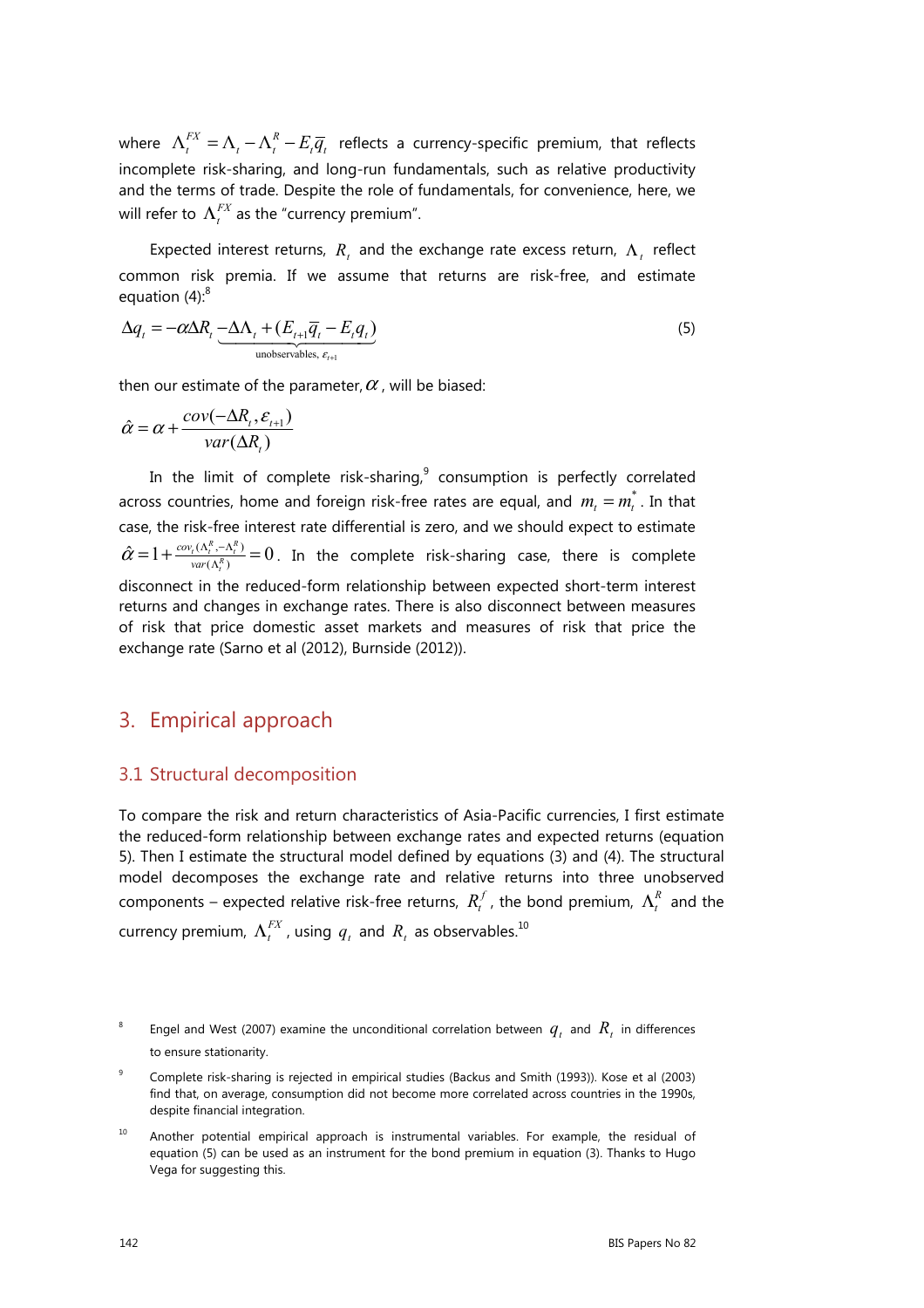where  $\Lambda_t^{FX} = \Lambda_t - \Lambda_t^R - E_t \overline{q}_t$  reflects a currency-specific premium, that reflects incomplete risk-sharing, and long-run fundamentals, such as relative productivity and the terms of trade. Despite the role of fundamentals, for convenience, here, we will refer to  $\Lambda_t^{FX}$  as the "currency premium".

Expected interest returns,  $R_{t}$  and the exchange rate excess return,  $\Lambda_{t}$  reflect common risk premia. If we assume that returns are risk-free, and estimate equation  $(4)$ :<sup>8</sup>

$$
\Delta q_t = -\alpha \Delta R_t - \Delta \Lambda_t + (E_{t+1} \overline{q}_t - E_t q_t) \tag{5}
$$

then our estimate of the parameter,  $\alpha$ , will be biased:

$$
\hat{\alpha} = \alpha + \frac{cov(-\Delta R_t, \varepsilon_{t+1})}{var(\Delta R_t)}
$$

In the limit of complete risk-sharing, $9$  consumption is perfectly correlated across countries, home and foreign risk-free rates are equal, and  $m = m^*$ . In that case, the risk-free interest rate differential is zero, and we should expect to estimate  $\hat{\boldsymbol{\chi}} = 1 + \frac{cov_t(\Lambda_t^R, -\Lambda_t^R)}{var(\Lambda_t^R)} = 0$  $\hat{\alpha} = 1 + \frac{cov_t(\Lambda_t^R, -\Lambda_t^R)}{var(\Lambda_t^R)} = 0$ . In the complete risk-sharing case, there is complete disconnect in the reduced-form relationship between expected short-term interest returns and changes in exchange rates. There is also disconnect between measures of risk that price domestic asset markets and measures of risk that price the exchange rate (Sarno et al (2012), Burnside (2012)).

### 3. Empirical approach

#### 3.1 Structural decomposition

To compare the risk and return characteristics of Asia-Pacific currencies, I first estimate the reduced-form relationship between exchange rates and expected returns (equation 5). Then I estimate the structural model defined by equations (3) and (4). The structural model decomposes the exchange rate and relative returns into three unobserved components – expected relative risk-free returns,  $R_t^f$ , the bond premium,  $\Lambda_t^R$  and the currency premium,  $\Lambda_t^{FX}$ , using  $q_t$  and  $R_t$  as observables.<sup>10</sup>

<sup>8</sup> Engel and West (2007) examine the unconditional correlation between  $q_t$  and  $R_t$  in differences to ensure stationarity.

<sup>9</sup> Complete risk-sharing is rejected in empirical studies (Backus and Smith (1993)). Kose et al (2003) find that, on average, consumption did not become more correlated across countries in the 1990s, despite financial integration.

<sup>&</sup>lt;sup>10</sup> Another potential empirical approach is instrumental variables. For example, the residual of equation (5) can be used as an instrument for the bond premium in equation (3). Thanks to Hugo Vega for suggesting this.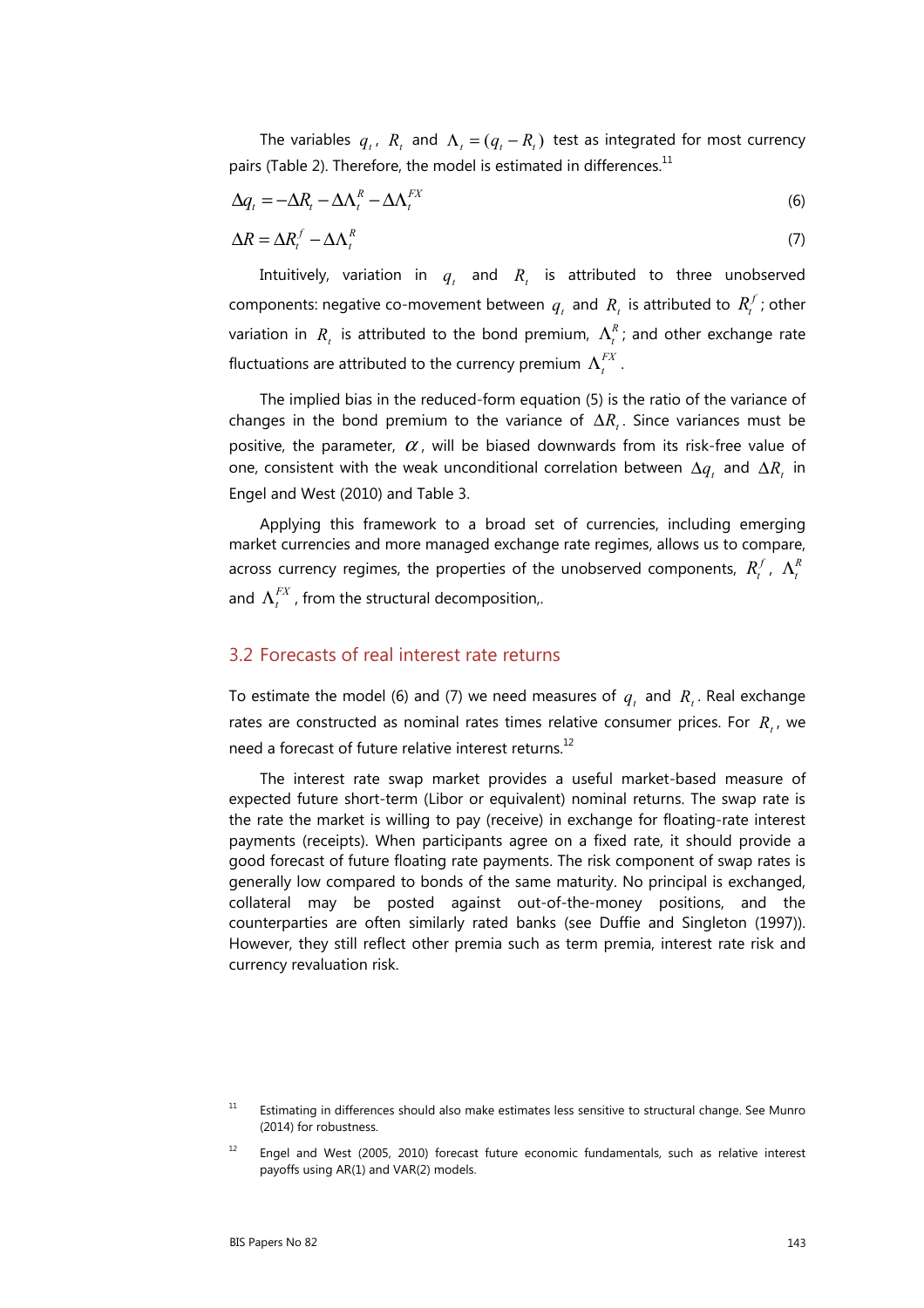The variables  $q_i$ ,  $R_i$  and  $\Lambda_i = (q_i - R_i)$  test as integrated for most currency pairs (Table 2). Therefore, the model is estimated in differences. $^{11}$ 

$$
\Delta q_t = -\Delta R_t - \Delta \Lambda_t^R - \Delta \Lambda_t^{FX} \tag{6}
$$

$$
\Delta R = \Delta R_t^f - \Delta \Lambda_t^R \tag{7}
$$

Intuitively, variation in  $q_t$  and  $R_t$  is attributed to three unobserved components: negative co-movement between  $q_t$ , and  $R_t$  is attributed to  $R_t^f$ ; other variation in *R*, is attributed to the bond premium,  $\Lambda_i^R$ ; and other exchange rate fluctuations are attributed to the currency premium  $\Lambda_t^{FX}$ .

The implied bias in the reduced-form equation (5) is the ratio of the variance of changes in the bond premium to the variance of  $\Delta R$ . Since variances must be positive, the parameter,  $\alpha$ , will be biased downwards from its risk-free value of one, consistent with the weak unconditional correlation between  $\Delta q$ , and  $\Delta R$ , in Engel and West (2010) and Table 3.

Applying this framework to a broad set of currencies, including emerging market currencies and more managed exchange rate regimes, allows us to compare, across currency regimes, the properties of the unobserved components,  $R_t^f$ ,  $\Lambda_t^R$ and  $\Lambda_t^{FX}$ , from the structural decomposition,.

### 3.2 Forecasts of real interest rate returns

To estimate the model (6) and (7) we need measures of  $q_t$  and  $R_t$ . Real exchange rates are constructed as nominal rates times relative consumer prices. For  $R_t$ , we need a forecast of future relative interest returns.<sup>12</sup>

The interest rate swap market provides a useful market-based measure of expected future short-term (Libor or equivalent) nominal returns. The swap rate is the rate the market is willing to pay (receive) in exchange for floating-rate interest payments (receipts). When participants agree on a fixed rate, it should provide a good forecast of future floating rate payments. The risk component of swap rates is generally low compared to bonds of the same maturity. No principal is exchanged, collateral may be posted against out-of-the-money positions, and the counterparties are often similarly rated banks (see Duffie and Singleton (1997)). However, they still reflect other premia such as term premia, interest rate risk and currency revaluation risk.

 $11$  Estimating in differences should also make estimates less sensitive to structural change. See Munro (2014) for robustness.

 $12$  Engel and West (2005, 2010) forecast future economic fundamentals, such as relative interest payoffs using AR(1) and VAR(2) models.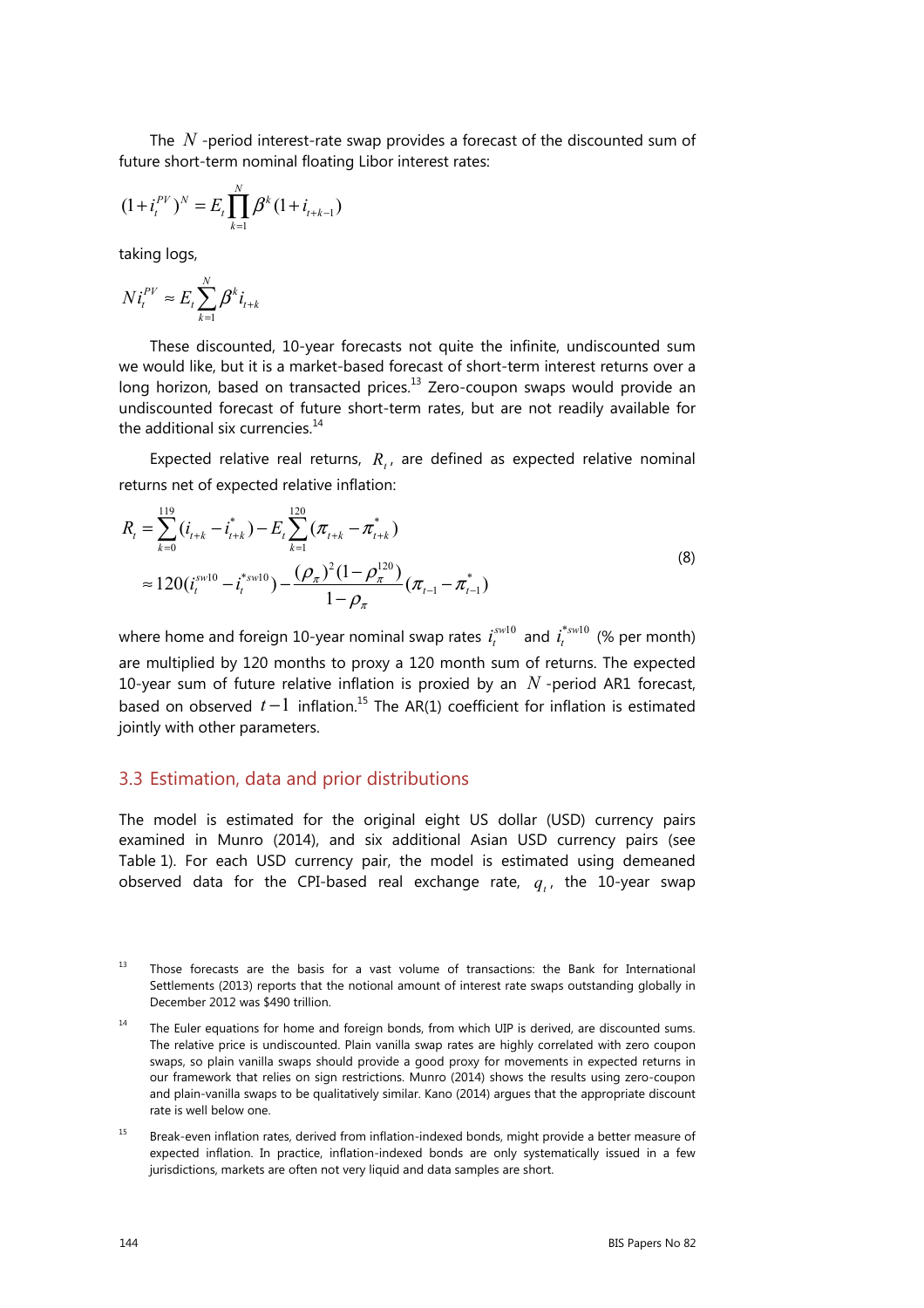The *N* -period interest-rate swap provides a forecast of the discounted sum of future short-term nominal floating Libor interest rates:

$$
(1+i_t^{PV})^N = E_t \prod_{k=1}^N \beta^k (1+i_{t+k-1})
$$

taking logs,

$$
Ni_t^{PV} \approx E_t \sum_{k=1}^{N} \beta^k i_{t+k}
$$

These discounted, 10-year forecasts not quite the infinite, undiscounted sum we would like, but it is a market-based forecast of short-term interest returns over a long horizon, based on transacted prices. $^{13}$  Zero-coupon swaps would provide an undiscounted forecast of future short-term rates, but are not readily available for the additional six currencies. $^{14}$ 

Expected relative real returns,  $R_t$ , are defined as expected relative nominal returns net of expected relative inflation:

$$
R_{t} = \sum_{k=0}^{119} (i_{t+k} - i_{t+k}^{*}) - E_{t} \sum_{k=1}^{120} (\pi_{t+k} - \pi_{t+k}^{*})
$$
  

$$
\approx 120 (i_{t}^{sw10} - i_{t}^{*sw10}) - \frac{(\rho_{\pi})^{2} (1 - \rho_{\pi}^{120})}{1 - \rho_{\pi}} (\pi_{t-1} - \pi_{t-1}^{*})
$$
(8)

where home and foreign 10-year nominal swap rates  $i_t^{swt10}$  and  $i_t^{ssw10}$  (% per month) are multiplied by 120 months to proxy a 120 month sum of returns. The expected 10-year sum of future relative inflation is proxied by an *N* -period AR1 forecast, based on observed  $t-1$  inflation.<sup>15</sup> The AR(1) coefficient for inflation is estimated jointly with other parameters.

### 3.3 Estimation, data and prior distributions

The model is estimated for the original eight US dollar (USD) currency pairs examined in Munro (2014), and six additional Asian USD currency pairs (see Table 1). For each USD currency pair, the model is estimated using demeaned observed data for the CPI-based real exchange rate,  $q_t$ , the 10-year swap

<sup>13</sup> Those forecasts are the basis for a vast volume of transactions: the Bank for International Settlements (2013) reports that the notional amount of interest rate swaps outstanding globally in December 2012 was \$490 trillion.

 $14$  The Euler equations for home and foreign bonds, from which UIP is derived, are discounted sums. The relative price is undiscounted. Plain vanilla swap rates are highly correlated with zero coupon swaps, so plain vanilla swaps should provide a good proxy for movements in expected returns in our framework that relies on sign restrictions. Munro (2014) shows the results using zero-coupon and plain-vanilla swaps to be qualitatively similar. Kano (2014) argues that the appropriate discount rate is well below one.

<sup>15</sup> Break-even inflation rates, derived from inflation-indexed bonds, might provide a better measure of expected inflation. In practice, inflation-indexed bonds are only systematically issued in a few jurisdictions, markets are often not very liquid and data samples are short.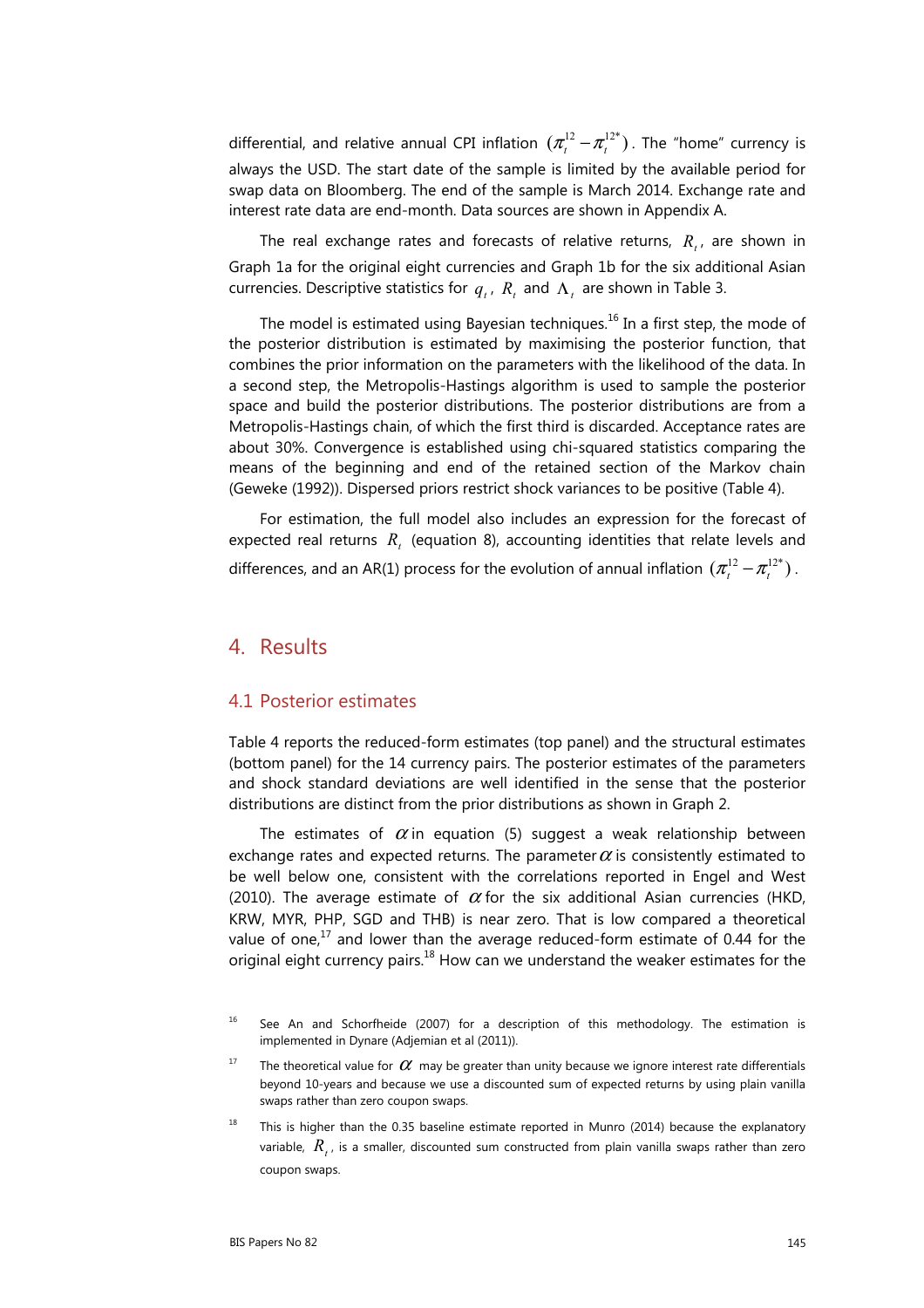differential, and relative annual CPI inflation  $(\pi_t^{12} - \pi_t^{12*})$ . The "home" currency is always the USD. The start date of the sample is limited by the available period for swap data on Bloomberg. The end of the sample is March 2014. Exchange rate and interest rate data are end-month. Data sources are shown in Appendix A.

The real exchange rates and forecasts of relative returns,  $R_t$ , are shown in Graph 1a for the original eight currencies and Graph 1b for the six additional Asian currencies. Descriptive statistics for  $q_t$ ,  $R_t$  and  $\Lambda_t$  are shown in Table 3.

The model is estimated using Bayesian techniques.<sup>16</sup> In a first step, the mode of the posterior distribution is estimated by maximising the posterior function, that combines the prior information on the parameters with the likelihood of the data. In a second step, the Metropolis-Hastings algorithm is used to sample the posterior space and build the posterior distributions. The posterior distributions are from a Metropolis-Hastings chain, of which the first third is discarded. Acceptance rates are about 30%. Convergence is established using chi-squared statistics comparing the means of the beginning and end of the retained section of the Markov chain (Geweke (1992)). Dispersed priors restrict shock variances to be positive (Table 4).

For estimation, the full model also includes an expression for the forecast of expected real returns  $R_t$  (equation 8), accounting identities that relate levels and differences, and an AR(1) process for the evolution of annual inflation  $(\pi_t^{12} - \pi_t^{12*})$ .

### 4. Results

#### 4.1 Posterior estimates

Table 4 reports the reduced-form estimates (top panel) and the structural estimates (bottom panel) for the 14 currency pairs. The posterior estimates of the parameters and shock standard deviations are well identified in the sense that the posterior distributions are distinct from the prior distributions as shown in Graph 2.

The estimates of  $\alpha$  in equation (5) suggest a weak relationship between exchange rates and expected returns. The parameter  $\alpha$  is consistently estimated to be well below one, consistent with the correlations reported in Engel and West (2010). The average estimate of  $\alpha$  for the six additional Asian currencies (HKD, KRW, MYR, PHP, SGD and THB) is near zero. That is low compared a theoretical value of one, $^{17}$  and lower than the average reduced-form estimate of 0.44 for the original eight currency pairs. $^{18}$  How can we understand the weaker estimates for the

<sup>&</sup>lt;sup>16</sup> See An and Schorfheide (2007) for a description of this methodology. The estimation is implemented in Dynare (Adjemian et al (2011)).

<sup>&</sup>lt;sup>17</sup> The theoretical value for  $\alpha$  may be greater than unity because we ignore interest rate differentials beyond 10-years and because we use a discounted sum of expected returns by using plain vanilla swaps rather than zero coupon swaps.

 $18$  This is higher than the 0.35 baseline estimate reported in Munro (2014) because the explanatory variable, R<sub>t</sub>, is a smaller, discounted sum constructed from plain vanilla swaps rather than zero coupon swaps.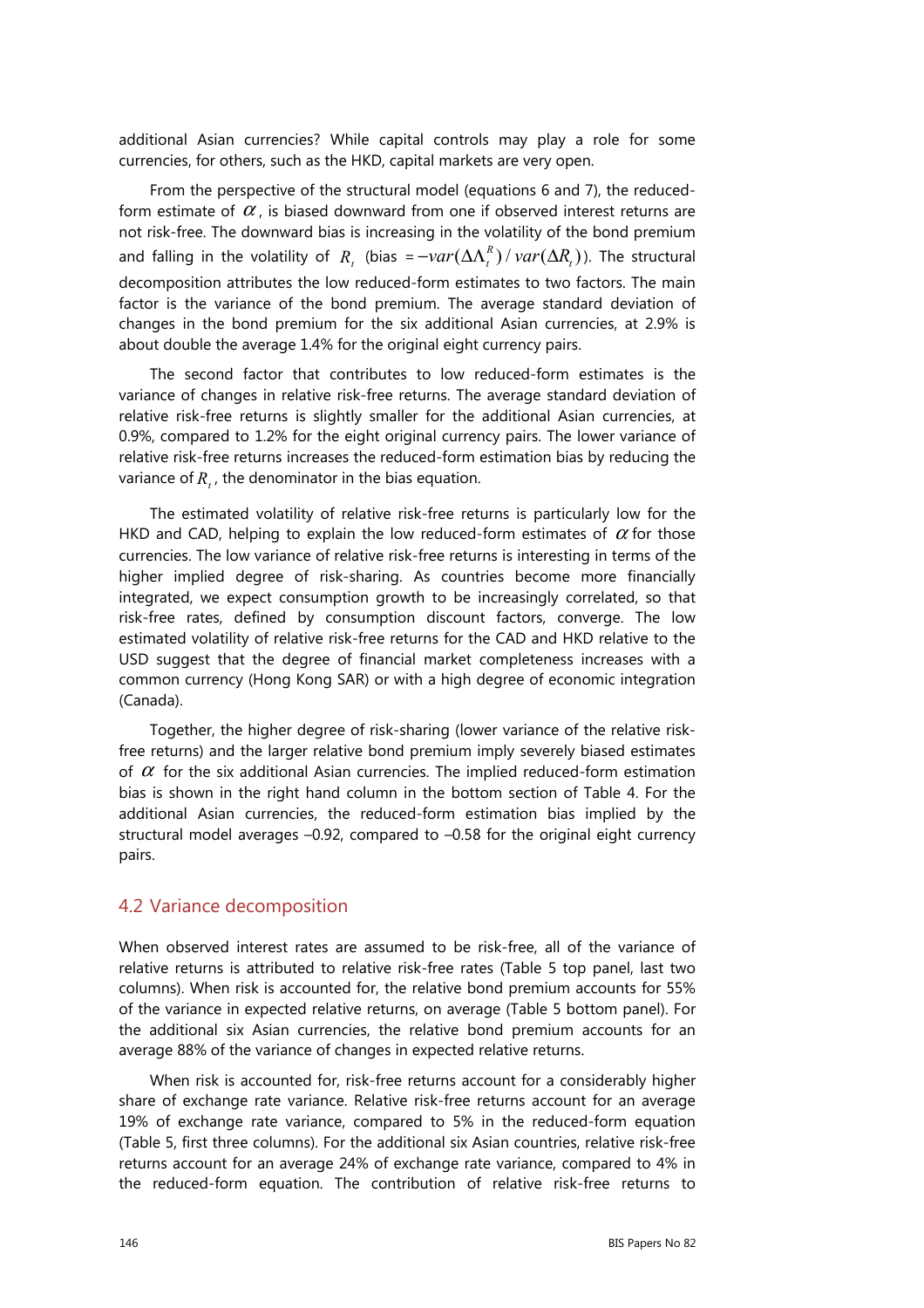additional Asian currencies? While capital controls may play a role for some currencies, for others, such as the HKD, capital markets are very open.

From the perspective of the structural model (equations 6 and 7), the reducedform estimate of  $\alpha$ , is biased downward from one if observed interest returns are not risk-free. The downward bias is increasing in the volatility of the bond premium and falling in the volatility of  $R_{\iota}$  (bias =  $-var(\Delta \Lambda_{\iota}^R) / var(\Delta R_{\iota})$ ). The structural decomposition attributes the low reduced-form estimates to two factors. The main factor is the variance of the bond premium. The average standard deviation of changes in the bond premium for the six additional Asian currencies, at 2.9% is about double the average 1.4% for the original eight currency pairs.

The second factor that contributes to low reduced-form estimates is the variance of changes in relative risk-free returns. The average standard deviation of relative risk-free returns is slightly smaller for the additional Asian currencies, at 0.9%, compared to 1.2% for the eight original currency pairs. The lower variance of relative risk-free returns increases the reduced-form estimation bias by reducing the variance of  $R_t$ , the denominator in the bias equation.

The estimated volatility of relative risk-free returns is particularly low for the HKD and CAD, helping to explain the low reduced-form estimates of  $\alpha$  for those currencies. The low variance of relative risk-free returns is interesting in terms of the higher implied degree of risk-sharing. As countries become more financially integrated, we expect consumption growth to be increasingly correlated, so that risk-free rates, defined by consumption discount factors, converge. The low estimated volatility of relative risk-free returns for the CAD and HKD relative to the USD suggest that the degree of financial market completeness increases with a common currency (Hong Kong SAR) or with a high degree of economic integration (Canada).

Together, the higher degree of risk-sharing (lower variance of the relative riskfree returns) and the larger relative bond premium imply severely biased estimates of  $\alpha$  for the six additional Asian currencies. The implied reduced-form estimation bias is shown in the right hand column in the bottom section of Table 4. For the additional Asian currencies, the reduced-form estimation bias implied by the structural model averages –0.92, compared to –0.58 for the original eight currency pairs.

#### 4.2 Variance decomposition

When observed interest rates are assumed to be risk-free, all of the variance of relative returns is attributed to relative risk-free rates (Table 5 top panel, last two columns). When risk is accounted for, the relative bond premium accounts for 55% of the variance in expected relative returns, on average (Table 5 bottom panel). For the additional six Asian currencies, the relative bond premium accounts for an average 88% of the variance of changes in expected relative returns.

When risk is accounted for, risk-free returns account for a considerably higher share of exchange rate variance. Relative risk-free returns account for an average 19% of exchange rate variance, compared to 5% in the reduced-form equation (Table 5, first three columns). For the additional six Asian countries, relative risk-free returns account for an average 24% of exchange rate variance, compared to 4% in the reduced-form equation. The contribution of relative risk-free returns to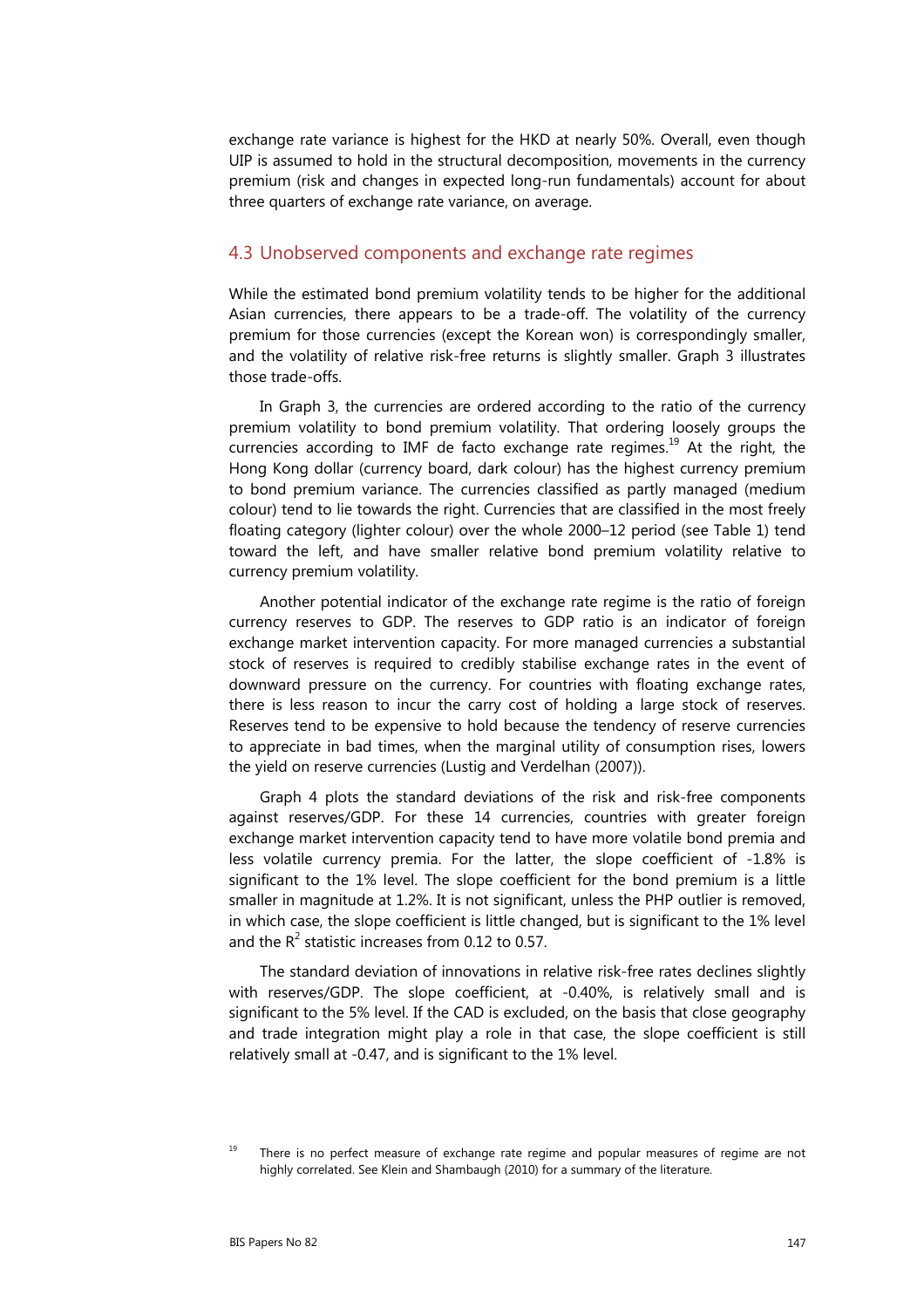exchange rate variance is highest for the HKD at nearly 50%. Overall, even though UIP is assumed to hold in the structural decomposition, movements in the currency premium (risk and changes in expected long-run fundamentals) account for about three quarters of exchange rate variance, on average.

#### 4.3 Unobserved components and exchange rate regimes

While the estimated bond premium volatility tends to be higher for the additional Asian currencies, there appears to be a trade-off. The volatility of the currency premium for those currencies (except the Korean won) is correspondingly smaller, and the volatility of relative risk-free returns is slightly smaller. Graph 3 illustrates those trade-offs.

In Graph 3, the currencies are ordered according to the ratio of the currency premium volatility to bond premium volatility. That ordering loosely groups the currencies according to IMF de facto exchange rate regimes.<sup>19</sup> At the right, the Hong Kong dollar (currency board, dark colour) has the highest currency premium to bond premium variance. The currencies classified as partly managed (medium colour) tend to lie towards the right. Currencies that are classified in the most freely floating category (lighter colour) over the whole 2000–12 period (see Table 1) tend toward the left, and have smaller relative bond premium volatility relative to currency premium volatility.

Another potential indicator of the exchange rate regime is the ratio of foreign currency reserves to GDP. The reserves to GDP ratio is an indicator of foreign exchange market intervention capacity. For more managed currencies a substantial stock of reserves is required to credibly stabilise exchange rates in the event of downward pressure on the currency. For countries with floating exchange rates, there is less reason to incur the carry cost of holding a large stock of reserves. Reserves tend to be expensive to hold because the tendency of reserve currencies to appreciate in bad times, when the marginal utility of consumption rises, lowers the yield on reserve currencies (Lustig and Verdelhan (2007)).

Graph 4 plots the standard deviations of the risk and risk-free components against reserves/GDP. For these 14 currencies, countries with greater foreign exchange market intervention capacity tend to have more volatile bond premia and less volatile currency premia. For the latter, the slope coefficient of -1.8% is significant to the 1% level. The slope coefficient for the bond premium is a little smaller in magnitude at 1.2%. It is not significant, unless the PHP outlier is removed, in which case, the slope coefficient is little changed, but is significant to the 1% level and the  $R^2$  statistic increases from 0.12 to 0.57.

The standard deviation of innovations in relative risk-free rates declines slightly with reserves/GDP. The slope coefficient, at -0.40%, is relatively small and is significant to the 5% level. If the CAD is excluded, on the basis that close geography and trade integration might play a role in that case, the slope coefficient is still relatively small at -0.47, and is significant to the 1% level.

 $19$  There is no perfect measure of exchange rate regime and popular measures of regime are not highly correlated. See Klein and Shambaugh (2010) for a summary of the literature.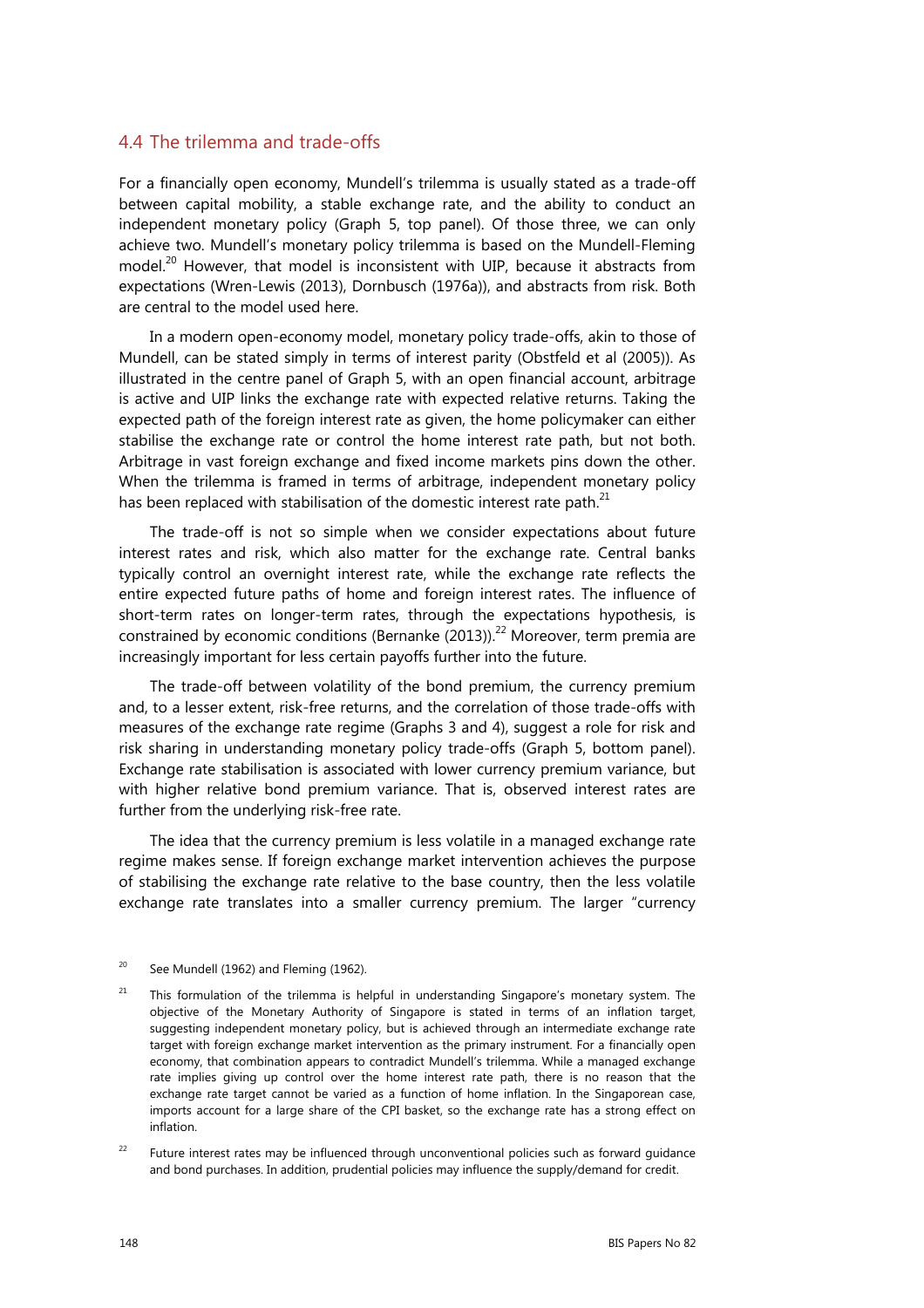#### 4.4 The trilemma and trade-offs

For a financially open economy, Mundell's trilemma is usually stated as a trade-off between capital mobility, a stable exchange rate, and the ability to conduct an independent monetary policy (Graph 5, top panel). Of those three, we can only achieve two. Mundell's monetary policy trilemma is based on the Mundell-Fleming model.<sup>20</sup> However, that model is inconsistent with UIP, because it abstracts from expectations (Wren-Lewis (2013), Dornbusch (1976a)), and abstracts from risk. Both are central to the model used here.

In a modern open-economy model, monetary policy trade-offs, akin to those of Mundell, can be stated simply in terms of interest parity (Obstfeld et al (2005)). As illustrated in the centre panel of Graph 5, with an open financial account, arbitrage is active and UIP links the exchange rate with expected relative returns. Taking the expected path of the foreign interest rate as given, the home policymaker can either stabilise the exchange rate or control the home interest rate path, but not both. Arbitrage in vast foreign exchange and fixed income markets pins down the other. When the trilemma is framed in terms of arbitrage, independent monetary policy has been replaced with stabilisation of the domestic interest rate path. $^{21}$ 

The trade-off is not so simple when we consider expectations about future interest rates and risk, which also matter for the exchange rate. Central banks typically control an overnight interest rate, while the exchange rate reflects the entire expected future paths of home and foreign interest rates. The influence of short-term rates on longer-term rates, through the expectations hypothesis, is constrained by economic conditions (Bernanke (2013)).<sup>22</sup> Moreover, term premia are increasingly important for less certain payoffs further into the future.

The trade-off between volatility of the bond premium, the currency premium and, to a lesser extent, risk-free returns, and the correlation of those trade-offs with measures of the exchange rate regime (Graphs 3 and 4), suggest a role for risk and risk sharing in understanding monetary policy trade-offs (Graph 5, bottom panel). Exchange rate stabilisation is associated with lower currency premium variance, but with higher relative bond premium variance. That is, observed interest rates are further from the underlying risk-free rate.

The idea that the currency premium is less volatile in a managed exchange rate regime makes sense. If foreign exchange market intervention achieves the purpose of stabilising the exchange rate relative to the base country, then the less volatile exchange rate translates into a smaller currency premium. The larger "currency

 $20$  See Mundell (1962) and Fleming (1962).

 $21$  This formulation of the trilemma is helpful in understanding Singapore's monetary system. The objective of the Monetary Authority of Singapore is stated in terms of an inflation target, suggesting independent monetary policy, but is achieved through an intermediate exchange rate target with foreign exchange market intervention as the primary instrument. For a financially open economy, that combination appears to contradict Mundell's trilemma. While a managed exchange rate implies giving up control over the home interest rate path, there is no reason that the exchange rate target cannot be varied as a function of home inflation. In the Singaporean case, imports account for a large share of the CPI basket, so the exchange rate has a strong effect on inflation.

 $22$  Future interest rates may be influenced through unconventional policies such as forward guidance and bond purchases. In addition, prudential policies may influence the supply/demand for credit.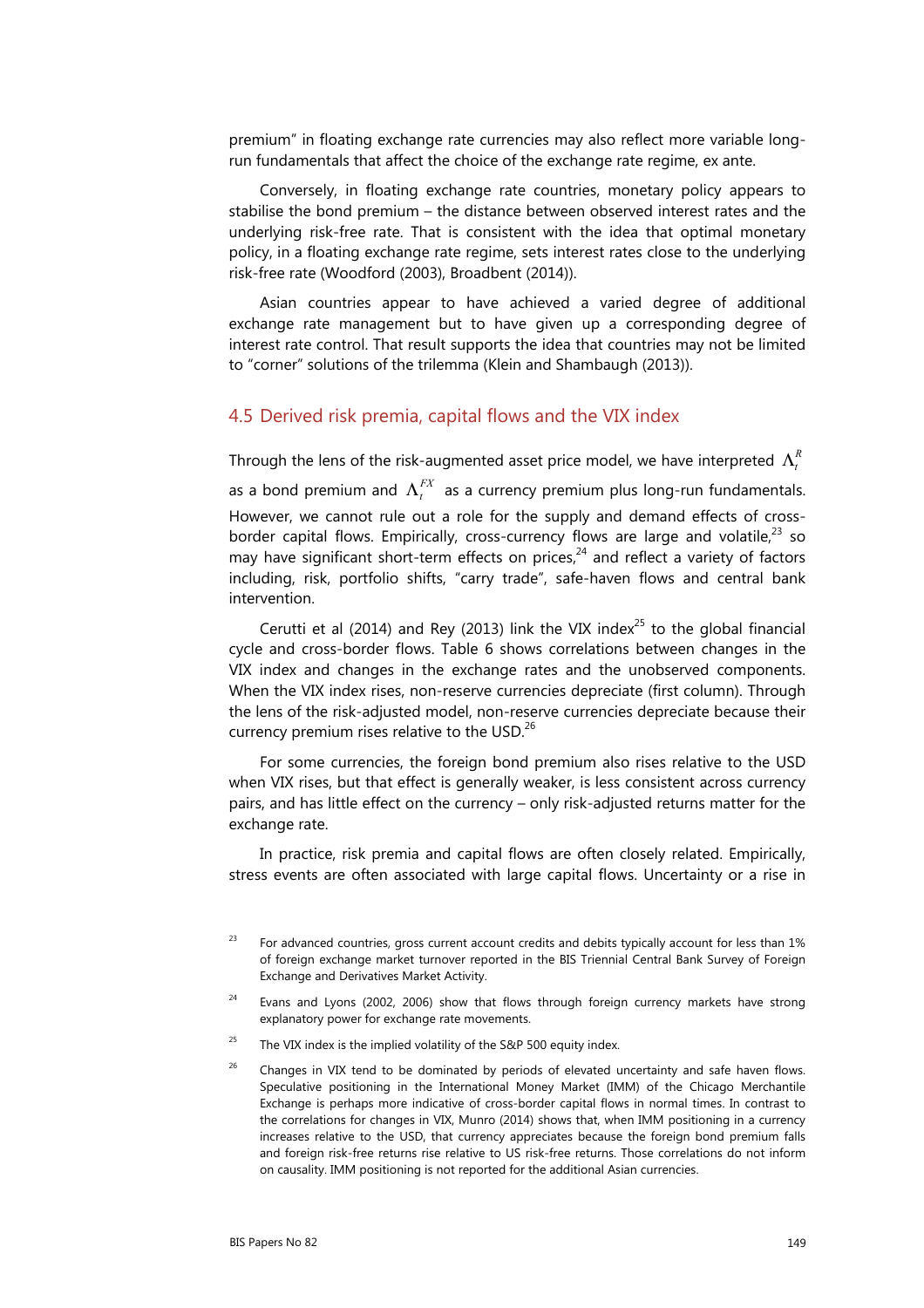premium" in floating exchange rate currencies may also reflect more variable longrun fundamentals that affect the choice of the exchange rate regime, ex ante.

Conversely, in floating exchange rate countries, monetary policy appears to stabilise the bond premium – the distance between observed interest rates and the underlying risk-free rate. That is consistent with the idea that optimal monetary policy, in a floating exchange rate regime, sets interest rates close to the underlying risk-free rate (Woodford (2003), Broadbent (2014)).

Asian countries appear to have achieved a varied degree of additional exchange rate management but to have given up a corresponding degree of interest rate control. That result supports the idea that countries may not be limited to "corner" solutions of the trilemma (Klein and Shambaugh (2013)).

#### 4.5 Derived risk premia, capital flows and the VIX index

Through the lens of the risk-augmented asset price model, we have interpreted  $\Lambda_t^R$ as a bond premium and  $\Lambda_t^{FX}$  as a currency premium plus long-run fundamentals. However, we cannot rule out a role for the supply and demand effects of crossborder capital flows. Empirically, cross-currency flows are large and volatile,  $23$  so may have significant short-term effects on prices,  $24$  and reflect a variety of factors including, risk, portfolio shifts, "carry trade", safe-haven flows and central bank intervention.

Cerutti et al (2014) and Rey (2013) link the VIX index<sup>25</sup> to the global financial cycle and cross-border flows. Table 6 shows correlations between changes in the VIX index and changes in the exchange rates and the unobserved components. When the VIX index rises, non-reserve currencies depreciate (first column). Through the lens of the risk-adjusted model, non-reserve currencies depreciate because their currency premium rises relative to the USD.<sup>26</sup>

For some currencies, the foreign bond premium also rises relative to the USD when VIX rises, but that effect is generally weaker, is less consistent across currency pairs, and has little effect on the currency – only risk-adjusted returns matter for the exchange rate.

In practice, risk premia and capital flows are often closely related. Empirically, stress events are often associated with large capital flows. Uncertainty or a rise in

- $24$  Evans and Lyons (2002, 2006) show that flows through foreign currency markets have strong explanatory power for exchange rate movements.
- <sup>25</sup> The VIX index is the implied volatility of the S&P 500 equity index.
- $26$  Changes in VIX tend to be dominated by periods of elevated uncertainty and safe haven flows. Speculative positioning in the International Money Market (IMM) of the Chicago Merchantile Exchange is perhaps more indicative of cross-border capital flows in normal times. In contrast to the correlations for changes in VIX, Munro (2014) shows that, when IMM positioning in a currency increases relative to the USD, that currency appreciates because the foreign bond premium falls and foreign risk-free returns rise relative to US risk-free returns. Those correlations do not inform on causality. IMM positioning is not reported for the additional Asian currencies.

<sup>&</sup>lt;sup>23</sup> For advanced countries, gross current account credits and debits typically account for less than 1% of foreign exchange market turnover reported in the BIS Triennial Central Bank Survey of Foreign Exchange and Derivatives Market Activity.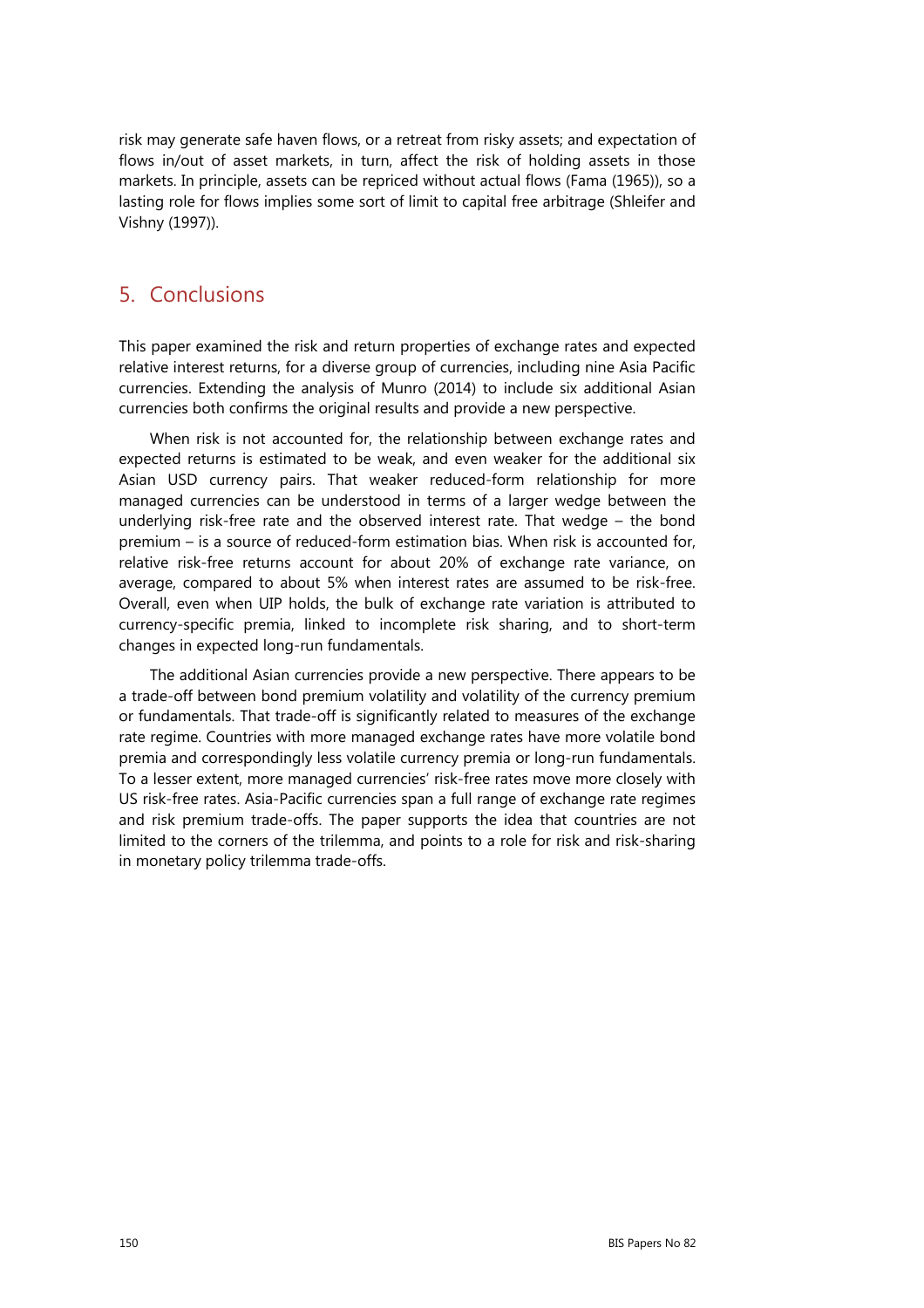risk may generate safe haven flows, or a retreat from risky assets; and expectation of flows in/out of asset markets, in turn, affect the risk of holding assets in those markets. In principle, assets can be repriced without actual flows (Fama (1965)), so a lasting role for flows implies some sort of limit to capital free arbitrage (Shleifer and Vishny (1997)).

## 5. Conclusions

This paper examined the risk and return properties of exchange rates and expected relative interest returns, for a diverse group of currencies, including nine Asia Pacific currencies. Extending the analysis of Munro (2014) to include six additional Asian currencies both confirms the original results and provide a new perspective.

When risk is not accounted for, the relationship between exchange rates and expected returns is estimated to be weak, and even weaker for the additional six Asian USD currency pairs. That weaker reduced-form relationship for more managed currencies can be understood in terms of a larger wedge between the underlying risk-free rate and the observed interest rate. That wedge – the bond premium – is a source of reduced-form estimation bias. When risk is accounted for, relative risk-free returns account for about 20% of exchange rate variance, on average, compared to about 5% when interest rates are assumed to be risk-free. Overall, even when UIP holds, the bulk of exchange rate variation is attributed to currency-specific premia, linked to incomplete risk sharing, and to short-term changes in expected long-run fundamentals.

The additional Asian currencies provide a new perspective. There appears to be a trade-off between bond premium volatility and volatility of the currency premium or fundamentals. That trade-off is significantly related to measures of the exchange rate regime. Countries with more managed exchange rates have more volatile bond premia and correspondingly less volatile currency premia or long-run fundamentals. To a lesser extent, more managed currencies' risk-free rates move more closely with US risk-free rates. Asia-Pacific currencies span a full range of exchange rate regimes and risk premium trade-offs. The paper supports the idea that countries are not limited to the corners of the trilemma, and points to a role for risk and risk-sharing in monetary policy trilemma trade-offs.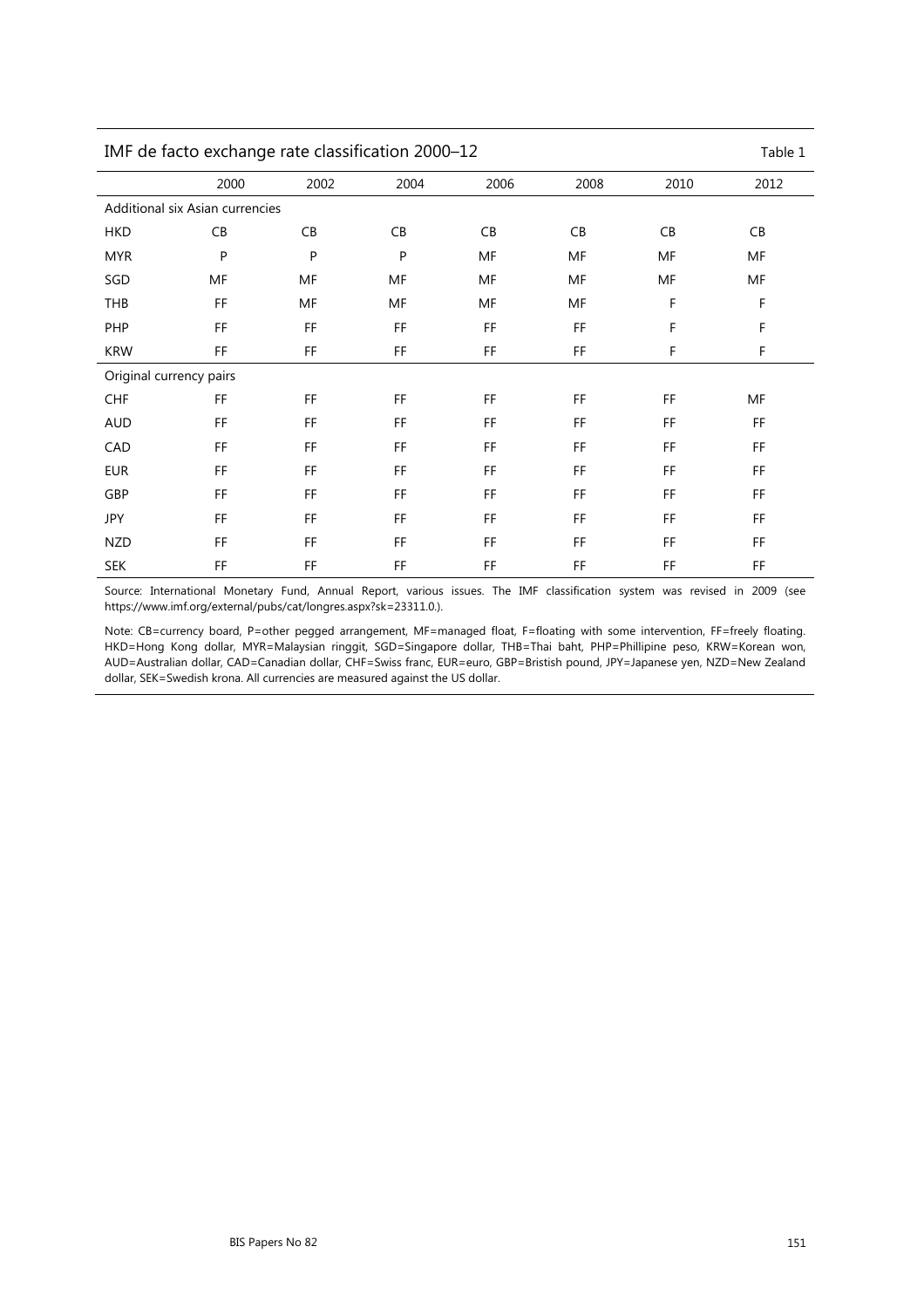| IMF de facto exchange rate classification 2000-12<br>Table 1 |      |      |      |           |                     |      |      |
|--------------------------------------------------------------|------|------|------|-----------|---------------------|------|------|
|                                                              | 2000 | 2002 | 2004 | 2006      | 2008                | 2010 | 2012 |
| Additional six Asian currencies                              |      |      |      |           |                     |      |      |
| <b>HKD</b>                                                   | CB   | CB   | CB   | CB        | CB                  | CB   | CB   |
| <b>MYR</b>                                                   | P    | P    | P    | MF        | MF                  | MF   | MF   |
| SGD                                                          | MF   | MF   | MF   | MF        | MF                  | MF   | MF   |
| THB                                                          | FF   | MF   | MF   | MF        | MF                  | F    | F    |
| PHP                                                          | FF   | FF   | FF   | FF        | FF                  | F    | F    |
| <b>KRW</b>                                                   | FF   | FF   | FF   | FF        | FF                  | F    | F    |
| Original currency pairs                                      |      |      |      |           |                     |      |      |
| <b>CHF</b>                                                   | FF   | FF   | FF   | FF        | FF                  | FF   | MF   |
| <b>AUD</b>                                                   | FF   | FF   | FF   | <b>FF</b> | FF                  | FF   | FF   |
| CAD                                                          | FF   | FF   | FF   | <b>FF</b> | FF                  | FF   | FF   |
| <b>EUR</b>                                                   | FF   | FF   | FF   | FF.       | FF                  | FF   | FF   |
| GBP                                                          | FF   | FF   | FF   | <b>FF</b> | FF                  | FF   | FF   |
| JPY                                                          | FF   | FF   | FF   | FF.       | FF                  | FF   | FF   |
| <b>NZD</b>                                                   | FF   | FF   | FF   | FF        | FF                  | FF   | FF   |
| <b>SEK</b>                                                   | FF   | FF   | FF   | FF        | $\mathsf{FF}% _{0}$ | FF   | FF   |

Source: International Monetary Fund, Annual Report, various issues. The IMF classification system was revised in 2009 (see https://www.imf.org/external/pubs/cat/longres.aspx?sk=23311.0.).

Note: CB=currency board, P=other pegged arrangement, MF=managed float, F=floating with some intervention, FF=freely floating. HKD=Hong Kong dollar, MYR=Malaysian ringgit, SGD=Singapore dollar, THB=Thai baht, PHP=Phillipine peso, KRW=Korean won, AUD=Australian dollar, CAD=Canadian dollar, CHF=Swiss franc, EUR=euro, GBP=Bristish pound, JPY=Japanese yen, NZD=New Zealand dollar, SEK=Swedish krona. All currencies are measured against the US dollar.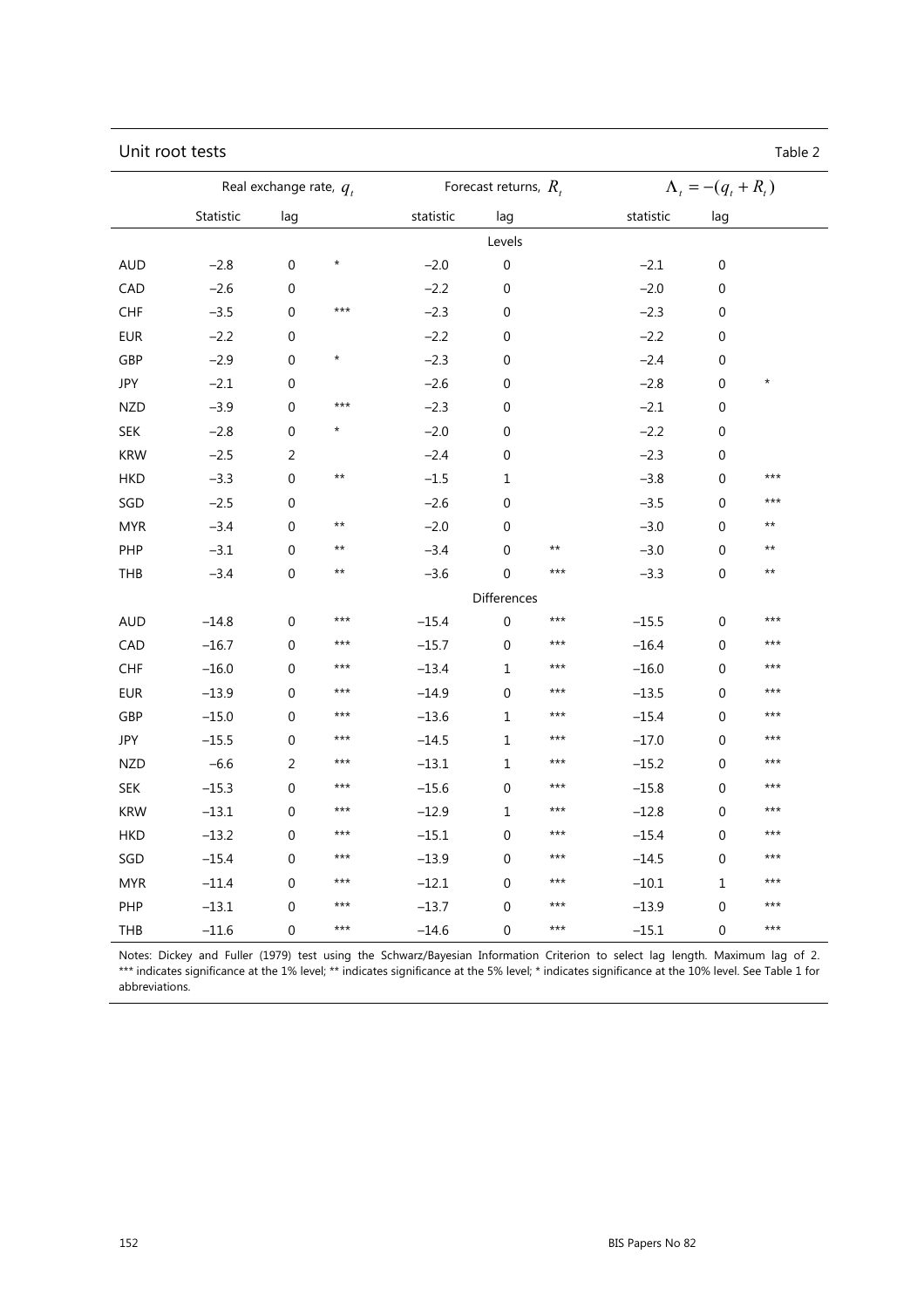| Unit root tests | Table 2 |
|-----------------|---------|
|-----------------|---------|

|            | Real exchange rate, $q_{t}$ |                |         | Forecast returns, $R_t$ |                  |       | $\Lambda_t = -(q_t + R_t)$ |                  |            |
|------------|-----------------------------|----------------|---------|-------------------------|------------------|-------|----------------------------|------------------|------------|
|            | Statistic                   | lag            |         | statistic               | lag              |       | statistic                  | lag              |            |
|            |                             |                |         |                         | Levels           |       |                            |                  |            |
| <b>AUD</b> | $-2.8$                      | $\mathbf 0$    | $\star$ | $-2.0$                  | $\boldsymbol{0}$ |       | $-2.1$                     | $\mathbf 0$      |            |
| CAD        | $-2.6$                      | 0              |         | $-2.2$                  | 0                |       | $-2.0$                     | $\mathbf 0$      |            |
| CHF        | $-3.5$                      | 0              | $***$   | $-2.3$                  | 0                |       | $-2.3$                     | 0                |            |
| <b>EUR</b> | $-2.2$                      | $\mathbf 0$    |         | $-2.2$                  | 0                |       | $-2.2$                     | $\mathbf 0$      |            |
| GBP        | $-2.9$                      | 0              | $\star$ | $-2.3$                  | 0                |       | $-2.4$                     | 0                |            |
| <b>JPY</b> | $-2.1$                      | 0              |         | $-2.6$                  | 0                |       | $-2.8$                     | 0                | $^{\star}$ |
| <b>NZD</b> | $-3.9$                      | 0              | ***     | $-2.3$                  | 0                |       | $-2.1$                     | 0                |            |
| <b>SEK</b> | $-2.8$                      | 0              | $\star$ | $-2.0$                  | 0                |       | $-2.2$                     | 0                |            |
| <b>KRW</b> | $-2.5$                      | $\overline{2}$ |         | $-2.4$                  | 0                |       | $-2.3$                     | $\boldsymbol{0}$ |            |
| <b>HKD</b> | $-3.3$                      | $\overline{0}$ | $***$   | $-1.5$                  | 1                |       | $-3.8$                     | $\overline{0}$   | $***$      |
| SGD        | $-2.5$                      | 0              |         | $-2.6$                  | 0                |       | $-3.5$                     | $\mathbf 0$      | ***        |
| <b>MYR</b> | $-3.4$                      | 0              | $***$   | $-2.0$                  | 0                |       | $-3.0$                     | $\mathbf 0$      | $***$      |
| PHP        | $-3.1$                      | 0              | $***$   | $-3.4$                  | 0                | $***$ | $-3.0$                     | $\mathbf 0$      | $***$      |
| THB        | $-3.4$                      | 0              | $***$   | $-3.6$                  | $\mathbf 0$      | $***$ | $-3.3$                     | $\boldsymbol{0}$ | $***$      |
|            |                             |                |         |                         | Differences      |       |                            |                  |            |
| <b>AUD</b> | $-14.8$                     | $\overline{0}$ | $***$   | $-15.4$                 | $\mathbf 0$      | $***$ | $-15.5$                    | $\overline{0}$   | $***$      |
| CAD        | $-16.7$                     | 0              | ***     | $-15.7$                 | 0                | ***   | $-16.4$                    | $\overline{0}$   | $***$      |
| CHF        | $-16.0$                     | 0              | ***     | $-13.4$                 | 1                | ***   | $-16.0$                    | 0                | ***        |
| <b>EUR</b> | $-13.9$                     | 0              | $***$   | $-14.9$                 | $\mathbf 0$      | $***$ | $-13.5$                    | $\mathbf 0$      | $***$      |
| GBP        | $-15.0$                     | 0              | ***     | $-13.6$                 | $\mathbf{1}$     | $***$ | $-15.4$                    | $\mathbf 0$      | ***        |
| <b>JPY</b> | $-15.5$                     | 0              | ***     | $-14.5$                 | $\mathbf{1}$     | $***$ | $-17.0$                    | $\mathbf 0$      | $***$      |
| <b>NZD</b> | $-6.6$                      | $\overline{2}$ | ***     | $-13.1$                 | $\mathbf{1}$     | $***$ | $-15.2$                    | $\overline{0}$   | $***$      |
| <b>SEK</b> | $-15.3$                     | $\overline{0}$ | ***     | $-15.6$                 | 0                | ***   | $-15.8$                    | $\overline{0}$   | $***$      |
| <b>KRW</b> | $-13.1$                     | 0              | ***     | $-12.9$                 | 1                | ***   | $-12.8$                    | $\mathbf 0$      | $***$      |
| <b>HKD</b> | $-13.2$                     | 0              | ***     | $-15.1$                 | $\mathbf 0$      | ***   | $-15.4$                    | $\mathbf 0$      | $***$      |
| SGD        | $-15.4$                     | $\mathbf 0$    | ***     | $-13.9$                 | $\Omega$         | $***$ | $-14.5$                    | $\mathbf 0$      | $***$      |
| <b>MYR</b> | $-11.4$                     | 0              | $***$   | $-12.1$                 | $\mathbf 0$      | $***$ | $-10.1$                    | $\mathbf{1}$     | $***$      |
| <b>PHP</b> | $-13.1$                     | $\mathbf 0$    | $***$   | $-13.7$                 | $\mathbf 0$      | $***$ | $-13.9$                    | $\overline{0}$   | $***$      |
| THB        | $-11.6$                     | $\mathbf 0$    | ***     | $-14.6$                 | 0                | $***$ | $-15.1$                    | $\overline{0}$   | $***$      |

Notes: Dickey and Fuller (1979) test using the Schwarz/Bayesian Information Criterion to select lag length. Maximum lag of 2. \*\*\* indicates significance at the 1% level; \*\* indicates significance at the 5% level; \* indicates significance at the 10% level. See Table 1 for abbreviations.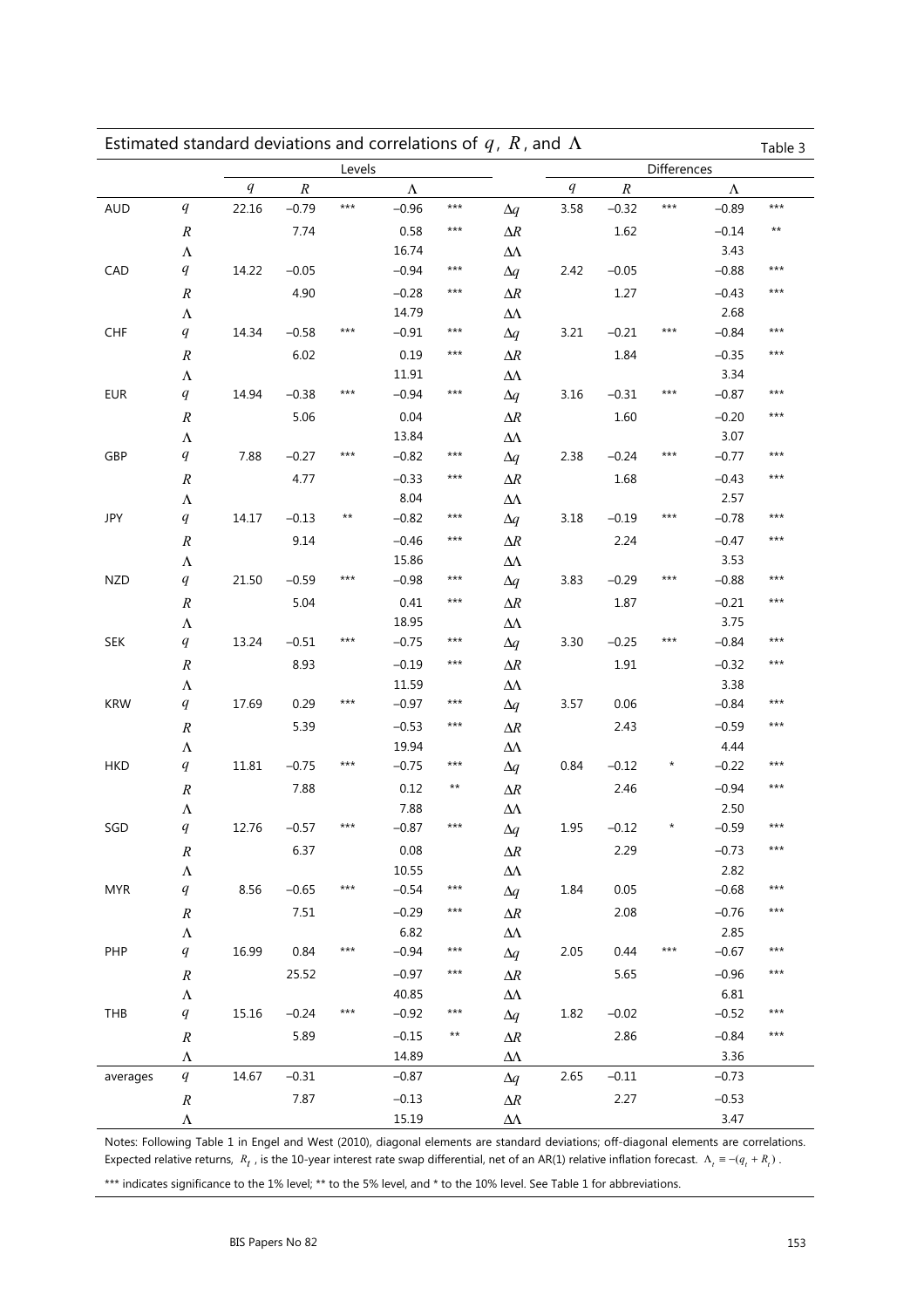| Estimated standard deviations and correlations of $q$ , $R$ , and $\Lambda$ |                  |       |          |        |           |              |                   |      | Table 3  |             |         |       |
|-----------------------------------------------------------------------------|------------------|-------|----------|--------|-----------|--------------|-------------------|------|----------|-------------|---------|-------|
|                                                                             |                  |       |          | Levels |           |              |                   |      |          | Differences |         |       |
|                                                                             |                  | q     | $\cal R$ |        | $\Lambda$ |              |                   | q    | $\cal R$ |             | Λ       |       |
| <b>AUD</b>                                                                  | q                | 22.16 | $-0.79$  | $***$  | $-0.96$   | $***$        | $\Delta q$        | 3.58 | $-0.32$  | $***$       | $-0.89$ | $***$ |
|                                                                             | $\boldsymbol{R}$ |       | 7.74     |        | 0.58      | $***$        | $\Delta R$        |      | 1.62     |             | $-0.14$ | $***$ |
|                                                                             | $\Lambda$        |       |          |        | 16.74     |              | $\Delta\!\Lambda$ |      |          |             | 3.43    |       |
| CAD                                                                         | $\boldsymbol{q}$ | 14.22 | $-0.05$  |        | $-0.94$   | ***          | $\Delta q$        | 2.42 | $-0.05$  |             | $-0.88$ | $***$ |
|                                                                             | $\cal R$         |       | 4.90     |        | $-0.28$   | ***          | $\Delta R$        |      | 1.27     |             | $-0.43$ | $***$ |
|                                                                             | $\Lambda$        |       |          |        | 14.79     |              | $\Delta\!\Lambda$ |      |          |             | 2.68    |       |
| CHF                                                                         | $\boldsymbol{q}$ | 14.34 | $-0.58$  | $***$  | $-0.91$   | $***$        | $\Delta q$        | 3.21 | $-0.21$  | $***$       | $-0.84$ | $***$ |
|                                                                             | $\cal R$         |       | 6.02     |        | 0.19      | ***          | $\Delta R$        |      | 1.84     |             | $-0.35$ | $***$ |
|                                                                             | $\Lambda$        |       |          |        | 11.91     |              | $\Delta\!\Lambda$ |      |          |             | 3.34    |       |
| <b>EUR</b>                                                                  | $\boldsymbol{q}$ | 14.94 | $-0.38$  | ***    | $-0.94$   | ***          | $\Delta q$        | 3.16 | $-0.31$  | $***$       | $-0.87$ | $***$ |
|                                                                             | $\boldsymbol{R}$ |       | 5.06     |        | 0.04      |              | $\Delta R$        |      | 1.60     |             | $-0.20$ | $***$ |
|                                                                             | $\Lambda$        |       |          |        | 13.84     |              | $\Delta\!\Lambda$ |      |          |             | 3.07    |       |
| GBP                                                                         | $\boldsymbol{q}$ | 7.88  | $-0.27$  | ***    | $-0.82$   | ***          | $\Delta q$        | 2.38 | $-0.24$  | ***         | $-0.77$ | $***$ |
|                                                                             | $\cal R$         |       | 4.77     |        | $-0.33$   | ***          | $\Delta R$        |      | 1.68     |             | $-0.43$ | $***$ |
|                                                                             | $\Lambda$        |       |          |        | 8.04      |              | $\Delta\!\Lambda$ |      |          |             | 2.57    |       |
| <b>JPY</b>                                                                  | $\boldsymbol{q}$ | 14.17 | $-0.13$  | $***$  | $-0.82$   | $***$        | $\Delta q$        | 3.18 | $-0.19$  | $***$       | $-0.78$ | $***$ |
|                                                                             | $\boldsymbol{R}$ |       | 9.14     |        | $-0.46$   | ***          | $\Delta R$        |      | 2.24     |             | $-0.47$ | ***   |
|                                                                             | $\Lambda$        |       |          |        | 15.86     |              | $\Delta\!\Lambda$ |      |          |             | 3.53    |       |
| <b>NZD</b>                                                                  | $\boldsymbol{q}$ | 21.50 | $-0.59$  | ***    | $-0.98$   | ***          | $\Delta q$        | 3.83 | $-0.29$  | ***         | $-0.88$ | ***   |
|                                                                             | $\boldsymbol{R}$ |       | 5.04     |        | 0.41      | $***$        | $\Delta R$        |      | 1.87     |             | $-0.21$ | $***$ |
|                                                                             | $\Lambda$        |       |          |        | 18.95     |              | $\Delta\!\Lambda$ |      |          |             | 3.75    |       |
| <b>SEK</b>                                                                  | $\boldsymbol{q}$ | 13.24 | $-0.51$  | $***$  | $-0.75$   | $***$        | $\Delta q$        | 3.30 | $-0.25$  | $***$       | $-0.84$ | $***$ |
|                                                                             | $\cal R$         |       | 8.93     |        | $-0.19$   | ***          | $\Delta R$        |      | 1.91     |             | $-0.32$ | $***$ |
|                                                                             | $\Lambda$        |       |          |        | 11.59     |              | $\Delta\!\Lambda$ |      |          |             | 3.38    |       |
| <b>KRW</b>                                                                  | $\boldsymbol{q}$ | 17.69 | 0.29     | $***$  | $-0.97$   | ***          | $\Delta q$        | 3.57 | 0.06     |             | $-0.84$ | $***$ |
|                                                                             | $\cal R$         |       | 5.39     |        | $-0.53$   | ***          | $\Delta R$        |      | 2.43     |             | $-0.59$ | $***$ |
|                                                                             | $\Lambda$        |       |          |        | 19.94     |              | $\Delta\!\Lambda$ |      |          |             | 4.44    |       |
| <b>HKD</b>                                                                  | $\boldsymbol{q}$ | 11.81 | $-0.75$  | ***    | $-0.75$   | ***          | $\Delta q$        | 0.84 | $-0.12$  | $^{\star}$  | $-0.22$ | $***$ |
|                                                                             | $\boldsymbol{R}$ |       | 7.88     |        | 0.12      | $***$        | $\Delta R$        |      | 2.46     |             | $-0.94$ | $***$ |
|                                                                             | $\Lambda$        |       |          |        | 7.88      |              | $\Delta\!\Lambda$ |      |          |             | 2.50    |       |
| SGD                                                                         | $\boldsymbol{q}$ | 12.76 | $-0.57$  | $***$  | $-0.87$   | ***          | $\Delta q$        | 1.95 | $-0.12$  |             | $-0.59$ | ***   |
|                                                                             | $\cal R$         |       | 6.37     |        | 0.08      |              | $\Delta R$        |      | 2.29     |             | $-0.73$ | $***$ |
|                                                                             | $\Lambda$        |       |          |        | 10.55     |              | $\Delta\!\Lambda$ |      |          |             | 2.82    |       |
| <b>MYR</b>                                                                  | $\boldsymbol{q}$ | 8.56  | $-0.65$  | ***    | $-0.54$   | ***          | $\Delta q$        | 1.84 | 0.05     |             | $-0.68$ | $***$ |
|                                                                             | $\boldsymbol{R}$ |       | 7.51     |        | $-0.29$   | ***          | $\Delta R$        |      | 2.08     |             | $-0.76$ | $***$ |
|                                                                             | $\Lambda$        |       |          |        | 6.82      |              | $\Delta\!\Lambda$ |      |          |             | 2.85    |       |
| PHP                                                                         | $\boldsymbol{q}$ | 16.99 | 0.84     | ***    | $-0.94$   | $***$        | $\Delta q$        | 2.05 | 0.44     | $***$       | $-0.67$ | $***$ |
|                                                                             | $\cal R$         |       | 25.52    |        | $-0.97$   | $***$        | $\Delta R$        |      | 5.65     |             | $-0.96$ | $***$ |
|                                                                             | Λ                |       |          |        | 40.85     |              | $\Delta\!\Lambda$ |      |          |             | 6.81    |       |
| THB                                                                         | $\boldsymbol{q}$ | 15.16 | $-0.24$  | ***    | $-0.92$   | ***          | $\Delta q$        | 1.82 | $-0.02$  |             | $-0.52$ | $***$ |
|                                                                             | $\cal R$         |       | 5.89     |        | $-0.15$   | $\star\star$ | $\Delta R$        |      | 2.86     |             | $-0.84$ | $***$ |
|                                                                             | $\Lambda$        |       |          |        | 14.89     |              | $\Delta\!\Lambda$ |      |          |             | 3.36    |       |
| averages                                                                    | $\boldsymbol{q}$ | 14.67 | $-0.31$  |        | $-0.87$   |              | $\Delta q$        | 2.65 | $-0.11$  |             | $-0.73$ |       |
|                                                                             | $\boldsymbol{R}$ |       | 7.87     |        | $-0.13$   |              | $\Delta R$        |      | 2.27     |             | $-0.53$ |       |
|                                                                             | $\Lambda$        |       |          |        | 15.19     |              | $\Delta\!\Lambda$ |      |          |             | 3.47    |       |

Notes: Following Table 1 in Engel and West (2010), diagonal elements are standard deviations; off-diagonal elements are correlations. Expected relative returns,  $R_t$ , is the 10-year interest rate swap differential, net of an AR(1) relative inflation forecast.  $\Lambda_t \equiv -(q_t + R_t)$ .

\*\*\* indicates significance to the 1% level; \*\* to the 5% level, and \* to the 10% level. See Table 1 for abbreviations.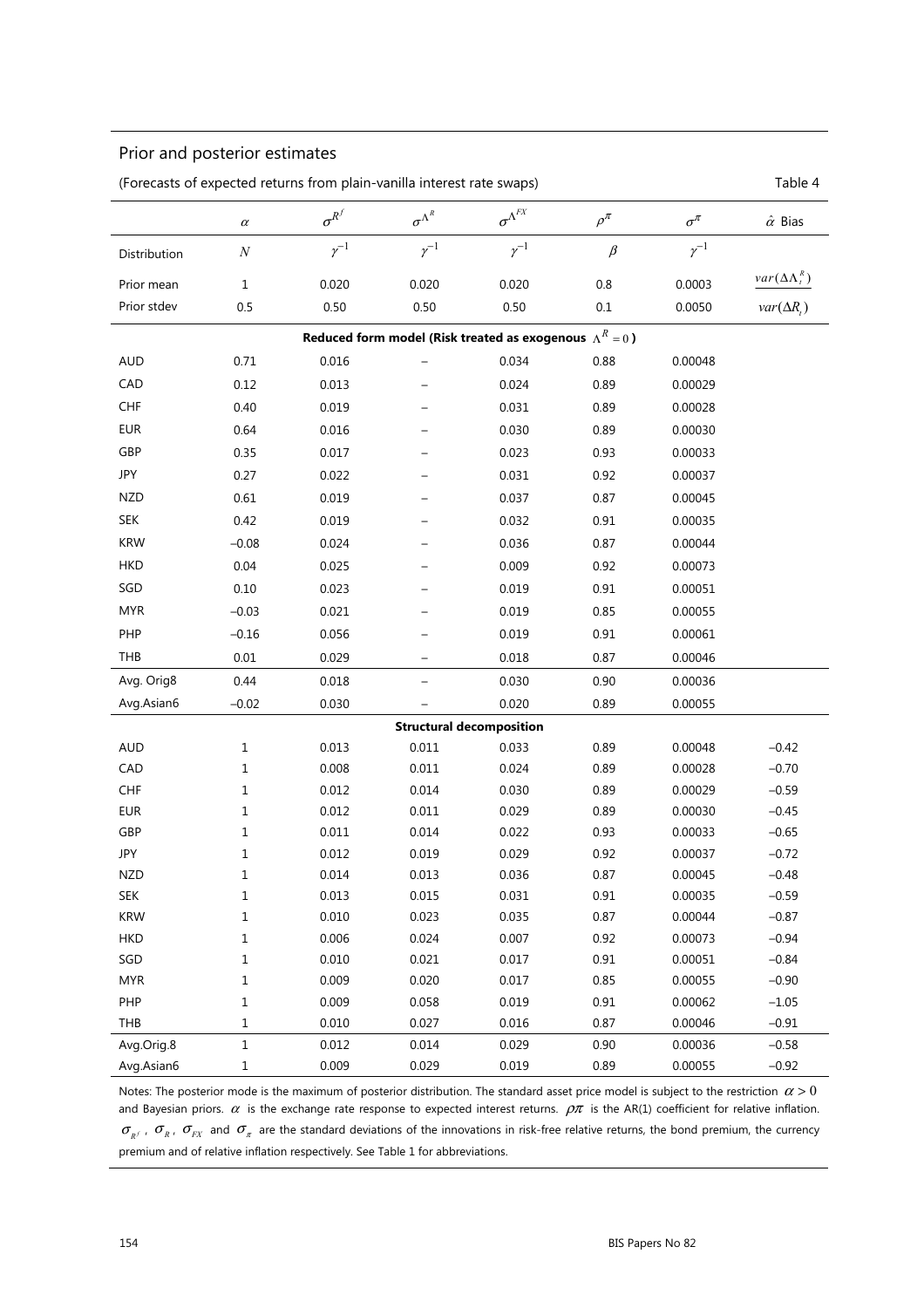| Prior and posterior estimates                                   |                  |                                                                        |                          |                                 |            |                |                           |  |  |  |
|-----------------------------------------------------------------|------------------|------------------------------------------------------------------------|--------------------------|---------------------------------|------------|----------------|---------------------------|--|--|--|
|                                                                 |                  | (Forecasts of expected returns from plain-vanilla interest rate swaps) |                          |                                 |            |                | Table 4                   |  |  |  |
|                                                                 | $\alpha$         | $\sigma^{R^f}$                                                         | $\sigma^{\Lambda^R}$     | $\sigma^{\Lambda^{FX}}$         | $\rho^\pi$ | $\sigma^{\pi}$ | $\hat{\alpha}$ Bias       |  |  |  |
| Distribution                                                    | $\boldsymbol{N}$ | $\gamma^{-1}$                                                          | $\gamma^{-1}$            | $\gamma^{-1}$                   | $\beta$    | $\gamma^{-1}$  |                           |  |  |  |
| Prior mean                                                      | $\mathbf{1}$     | 0.020                                                                  | 0.020                    | 0.020                           | $0.8\,$    | 0.0003         | $var(\Delta \Lambda_t^R)$ |  |  |  |
| Prior stdev                                                     | 0.5              | 0.50                                                                   | 0.50                     | 0.50                            | $0.1\,$    | 0.0050         | $var(\Delta R_i)$         |  |  |  |
| Reduced form model (Risk treated as exogenous $\Lambda^R = 0$ ) |                  |                                                                        |                          |                                 |            |                |                           |  |  |  |
| <b>AUD</b>                                                      | 0.71             | 0.016                                                                  |                          | 0.034                           | 0.88       | 0.00048        |                           |  |  |  |
| CAD                                                             | 0.12             | 0.013                                                                  |                          | 0.024                           | 0.89       | 0.00029        |                           |  |  |  |
| <b>CHF</b>                                                      | 0.40             | 0.019                                                                  |                          | 0.031                           | 0.89       | 0.00028        |                           |  |  |  |
| <b>EUR</b>                                                      | 0.64             | 0.016                                                                  |                          | 0.030                           | 0.89       | 0.00030        |                           |  |  |  |
| GBP                                                             | 0.35             | 0.017                                                                  |                          | 0.023                           | 0.93       | 0.00033        |                           |  |  |  |
| JPY                                                             | 0.27             | 0.022                                                                  |                          | 0.031                           | 0.92       | 0.00037        |                           |  |  |  |
| <b>NZD</b>                                                      | 0.61             | 0.019                                                                  |                          | 0.037                           | 0.87       | 0.00045        |                           |  |  |  |
| <b>SEK</b>                                                      | 0.42             | 0.019                                                                  | $\overline{\phantom{0}}$ | 0.032                           | 0.91       | 0.00035        |                           |  |  |  |
| <b>KRW</b>                                                      | $-0.08$          | 0.024                                                                  |                          | 0.036                           | 0.87       | 0.00044        |                           |  |  |  |
| <b>HKD</b>                                                      | 0.04             | 0.025                                                                  |                          | 0.009                           | 0.92       | 0.00073        |                           |  |  |  |
| SGD                                                             | 0.10             | 0.023                                                                  |                          | 0.019                           | 0.91       | 0.00051        |                           |  |  |  |
| <b>MYR</b>                                                      | $-0.03$          | 0.021                                                                  |                          | 0.019                           | 0.85       | 0.00055        |                           |  |  |  |
| PHP                                                             | $-0.16$          | 0.056                                                                  |                          | 0.019                           | 0.91       | 0.00061        |                           |  |  |  |
| THB                                                             | 0.01             | 0.029                                                                  |                          | 0.018                           | 0.87       | 0.00046        |                           |  |  |  |
| Avg. Orig8                                                      | 0.44             | 0.018                                                                  | $\qquad \qquad -$        | 0.030                           | 0.90       | 0.00036        |                           |  |  |  |
| Avg.Asian6                                                      | $-0.02$          | 0.030                                                                  |                          | 0.020                           | 0.89       | 0.00055        |                           |  |  |  |
|                                                                 |                  |                                                                        |                          | <b>Structural decomposition</b> |            |                |                           |  |  |  |
| <b>AUD</b>                                                      | $\mathbf{1}$     | 0.013                                                                  | 0.011                    | 0.033                           | 0.89       | 0.00048        | $-0.42$                   |  |  |  |
| CAD                                                             | $\mathbf 1$      | 0.008                                                                  | 0.011                    | 0.024                           | 0.89       | 0.00028        | $-0.70$                   |  |  |  |
| ${\sf CHF}$                                                     | 1                | 0.012                                                                  | 0.014                    | 0.030                           | 0.89       | 0.00029        | $-0.59$                   |  |  |  |
| <b>EUR</b>                                                      | $\mathbf{1}$     | 0.012                                                                  | 0.011                    | 0.029                           | 0.89       | 0.00030        | $-0.45$                   |  |  |  |
| GBP                                                             | $\mathbf 1$      | 0.011                                                                  | 0.014                    | 0.022                           | 0.93       | 0.00033        | $-0.65$                   |  |  |  |
| JPY                                                             | $\mathbf 1$      | 0.012                                                                  | 0.019                    | 0.029                           | 0.92       | 0.00037        | $-0.72$                   |  |  |  |
| <b>NZD</b>                                                      | $\mathbf{1}$     | 0.014                                                                  | 0.013                    | 0.036                           | 0.87       | 0.00045        | $-0.48$                   |  |  |  |
| <b>SEK</b>                                                      | $1\,$            | 0.013                                                                  | 0.015                    | 0.031                           | 0.91       | 0.00035        | $-0.59$                   |  |  |  |
| <b>KRW</b>                                                      | $\mathbf 1$      | 0.010                                                                  | 0.023                    | 0.035                           | 0.87       | 0.00044        | $-0.87$                   |  |  |  |
| <b>HKD</b>                                                      | $\mathbf{1}$     | 0.006                                                                  | 0.024                    | 0.007                           | 0.92       | 0.00073        | $-0.94$                   |  |  |  |
| SGD                                                             | $1\,$            | 0.010                                                                  | 0.021                    | 0.017                           | 0.91       | 0.00051        | $-0.84$                   |  |  |  |
| <b>MYR</b>                                                      | $\mathbf 1$      | 0.009                                                                  | 0.020                    | 0.017                           | 0.85       | 0.00055        | $-0.90$                   |  |  |  |
| PHP                                                             | $\mathbf{1}$     | 0.009                                                                  | 0.058                    | 0.019                           | 0.91       | 0.00062        | $-1.05$                   |  |  |  |
| THB                                                             | $\mathbf{1}$     | 0.010                                                                  | 0.027                    | 0.016                           | 0.87       | 0.00046        | $-0.91$                   |  |  |  |
| Avg.Orig.8                                                      | $\mathbf 1$      | 0.012                                                                  | 0.014                    | 0.029                           | 0.90       | 0.00036        | $-0.58$                   |  |  |  |
| Avg.Asian6                                                      | $\mathbf 1$      | 0.009                                                                  | 0.029                    | 0.019                           | 0.89       | 0.00055        | $-0.92$                   |  |  |  |

Notes: The posterior mode is the maximum of posterior distribution. The standard asset price model is subject to the restriction  $\alpha > 0$ and Bayesian priors.  $\alpha$  is the exchange rate response to expected interest returns.  $\rho\pi$  is the AR(1) coefficient for relative inflation.  $\sigma_{R}$ ,  $\sigma_{R}$ ,  $\sigma_{FX}$  and  $\sigma_{\pi}$  are the standard deviations of the innovations in risk-free relative returns, the bond premium, the currency premium and of relative inflation respectively. See Table 1 for abbreviations.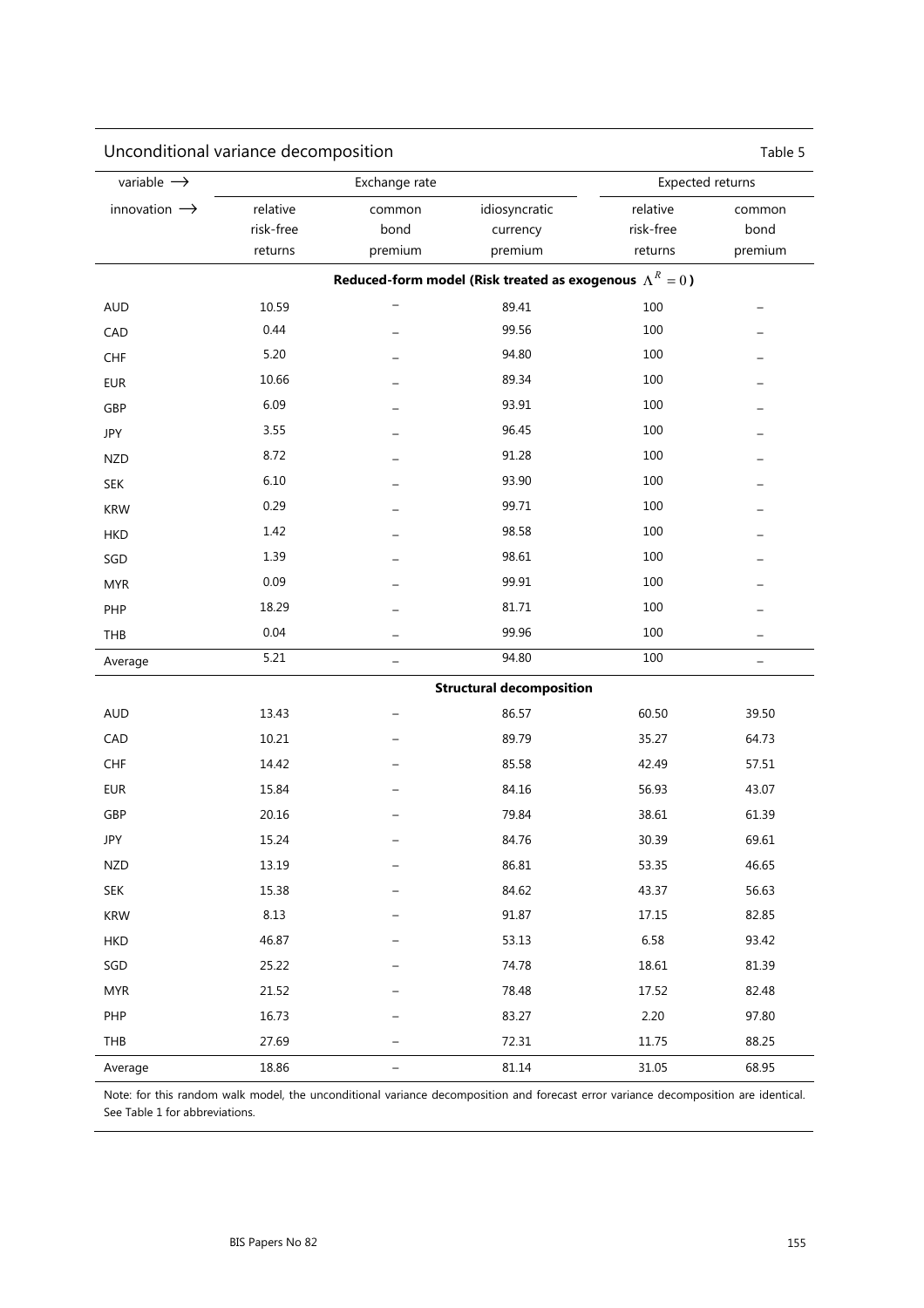| Unconditional variance decomposition<br>Table 5 |                                  |                           |                                                                 |                                  |                           |  |  |  |
|-------------------------------------------------|----------------------------------|---------------------------|-----------------------------------------------------------------|----------------------------------|---------------------------|--|--|--|
| variable $\rightarrow$                          |                                  | Exchange rate             |                                                                 |                                  | Expected returns          |  |  |  |
| innovation $\rightarrow$                        | relative<br>risk-free<br>returns | common<br>bond<br>premium | idiosyncratic<br>currency<br>premium                            | relative<br>risk-free<br>returns | common<br>bond<br>premium |  |  |  |
|                                                 |                                  |                           | Reduced-form model (Risk treated as exogenous $\Lambda^R = 0$ ) |                                  |                           |  |  |  |
| <b>AUD</b>                                      | 10.59                            |                           | 89.41                                                           | 100                              |                           |  |  |  |
| CAD                                             | 0.44                             |                           | 99.56                                                           | 100                              |                           |  |  |  |
| CHF                                             | 5.20                             |                           | 94.80                                                           | 100                              |                           |  |  |  |
| <b>EUR</b>                                      | 10.66                            |                           | 89.34                                                           | 100                              |                           |  |  |  |
| GBP                                             | 6.09                             |                           | 93.91                                                           | 100                              |                           |  |  |  |
| JPY                                             | 3.55                             |                           | 96.45                                                           | 100                              |                           |  |  |  |
| <b>NZD</b>                                      | 8.72                             |                           | 91.28                                                           | 100                              |                           |  |  |  |
| <b>SEK</b>                                      | 6.10                             |                           | 93.90                                                           | 100                              |                           |  |  |  |
| <b>KRW</b>                                      | 0.29                             |                           | 99.71                                                           | 100                              |                           |  |  |  |
| <b>HKD</b>                                      | 1.42                             |                           | 98.58                                                           | 100                              |                           |  |  |  |
| SGD                                             | 1.39                             |                           | 98.61                                                           | 100                              |                           |  |  |  |
| <b>MYR</b>                                      | 0.09                             |                           | 99.91                                                           | 100                              |                           |  |  |  |
| PHP                                             | 18.29                            |                           | 81.71                                                           | 100                              |                           |  |  |  |
| THB                                             | 0.04                             |                           | 99.96                                                           | 100                              |                           |  |  |  |
| Average                                         | 5.21                             | $\qquad \qquad -$         | 94.80                                                           | 100                              | -                         |  |  |  |
|                                                 |                                  |                           | <b>Structural decomposition</b>                                 |                                  |                           |  |  |  |
| <b>AUD</b>                                      | 13.43                            |                           | 86.57                                                           | 60.50                            | 39.50                     |  |  |  |
| CAD                                             | 10.21                            |                           | 89.79                                                           | 35.27                            | 64.73                     |  |  |  |
| CHF                                             | 14.42                            |                           | 85.58                                                           | 42.49                            | 57.51                     |  |  |  |
| <b>EUR</b>                                      | 15.84                            |                           | 84.16                                                           | 56.93                            | 43.07                     |  |  |  |
| GBP                                             | 20.16                            |                           | 79.84                                                           | 38.61                            | 61.39                     |  |  |  |
| JPY                                             | 15.24                            | -                         | 84.76                                                           | 30.39                            | 69.61                     |  |  |  |
| <b>NZD</b>                                      | 13.19                            |                           | 86.81                                                           | 53.35                            | 46.65                     |  |  |  |
| <b>SEK</b>                                      | 15.38                            |                           | 84.62                                                           | 43.37                            | 56.63                     |  |  |  |
| <b>KRW</b>                                      | 8.13                             |                           | 91.87                                                           | 17.15                            | 82.85                     |  |  |  |
| <b>HKD</b>                                      | 46.87                            |                           | 53.13                                                           | 6.58                             | 93.42                     |  |  |  |
| SGD                                             | 25.22                            |                           | 74.78                                                           | 18.61                            | 81.39                     |  |  |  |
| <b>MYR</b>                                      | 21.52                            |                           | 78.48                                                           | 17.52                            | 82.48                     |  |  |  |
| PHP                                             | 16.73                            |                           | 83.27                                                           | 2.20                             | 97.80                     |  |  |  |
| THB                                             | 27.69                            |                           | 72.31                                                           | 11.75                            | 88.25                     |  |  |  |
| Average                                         | 18.86                            |                           | 81.14                                                           | 31.05                            | 68.95                     |  |  |  |

Note: for this random walk model, the unconditional variance decomposition and forecast error variance decomposition are identical. See Table 1 for abbreviations.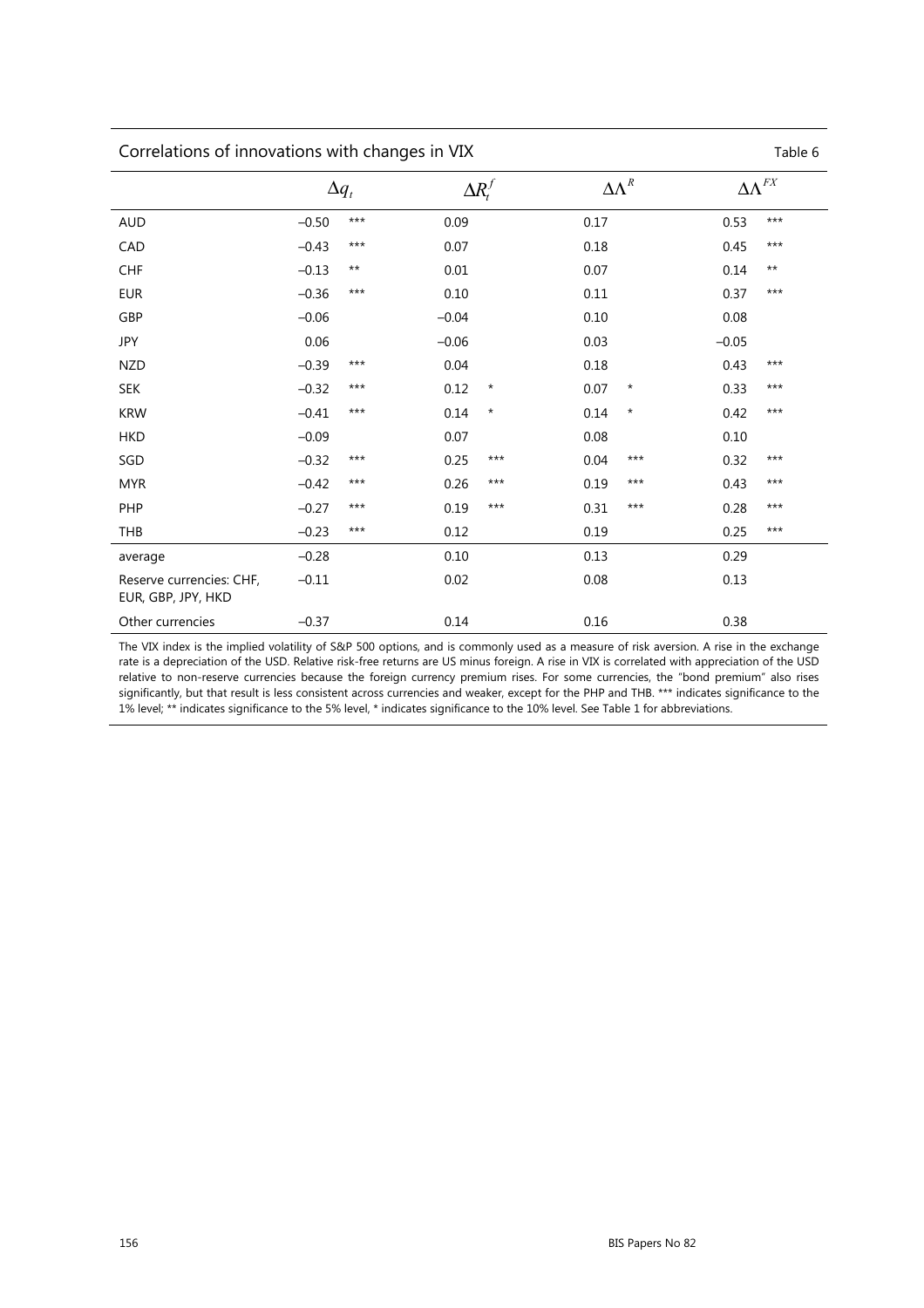| Correlations of innovations with changes in VIX<br>Table 6 |         |              |                |          |                    |                        |  |
|------------------------------------------------------------|---------|--------------|----------------|----------|--------------------|------------------------|--|
|                                                            |         | $\Delta q_t$ | $\Delta R_t^f$ |          | $\Delta \Lambda^R$ | $\Delta \Lambda^{F X}$ |  |
| <b>AUD</b>                                                 | $-0.50$ | ***          | 0.09           |          | 0.17               | ***<br>0.53            |  |
| CAD                                                        | $-0.43$ | ***          | 0.07           |          | 0.18               | ***<br>0.45            |  |
| <b>CHF</b>                                                 | $-0.13$ | **           | 0.01           |          | 0.07               | $***$<br>0.14          |  |
| <b>EUR</b>                                                 | $-0.36$ | ***          | 0.10           |          | 0.11               | $***$<br>0.37          |  |
| GBP                                                        | $-0.06$ |              | $-0.04$        |          | 0.10               | 0.08                   |  |
| JPY                                                        | 0.06    |              | $-0.06$        |          | 0.03               | $-0.05$                |  |
| <b>NZD</b>                                                 | $-0.39$ | ***          | 0.04           |          | 0.18               | 0.43<br>***            |  |
| <b>SEK</b>                                                 | $-0.32$ | ***          | 0.12           | $^\star$ | 0.07<br>$^\star$   | 0.33<br>***            |  |
| <b>KRW</b>                                                 | $-0.41$ | ***          | 0.14           | $\star$  | 0.14<br>$\star$    | $***$<br>0.42          |  |
| <b>HKD</b>                                                 | $-0.09$ |              | 0.07           |          | 0.08               | 0.10                   |  |
| SGD                                                        | $-0.32$ | ***          | 0.25           | ***      | 0.04<br>***        | ***<br>0.32            |  |
| <b>MYR</b>                                                 | $-0.42$ | ***          | 0.26           | ***      | 0.19<br>***        | 0.43<br>***            |  |
| PHP                                                        | $-0.27$ | ***          | 0.19           | $***$    | 0.31<br>***        | $***$<br>0.28          |  |
| THB                                                        | $-0.23$ | ***          | 0.12           |          | 0.19               | $***$<br>0.25          |  |
| average                                                    | $-0.28$ |              | 0.10           |          | 0.13               | 0.29                   |  |
| Reserve currencies: CHF,<br>EUR, GBP, JPY, HKD             | $-0.11$ |              | 0.02           |          | 0.08               | 0.13                   |  |
| Other currencies                                           | $-0.37$ |              | 0.14           |          | 0.16               | 0.38                   |  |

The VIX index is the implied volatility of S&P 500 options, and is commonly used as a measure of risk aversion. A rise in the exchange rate is a depreciation of the USD. Relative risk-free returns are US minus foreign. A rise in VIX is correlated with appreciation of the USD relative to non-reserve currencies because the foreign currency premium rises. For some currencies, the "bond premium" also rises significantly, but that result is less consistent across currencies and weaker, except for the PHP and THB. \*\*\* indicates significance to the 1% level; \*\* indicates significance to the 5% level, \* indicates significance to the 10% level. See Table 1 for abbreviations.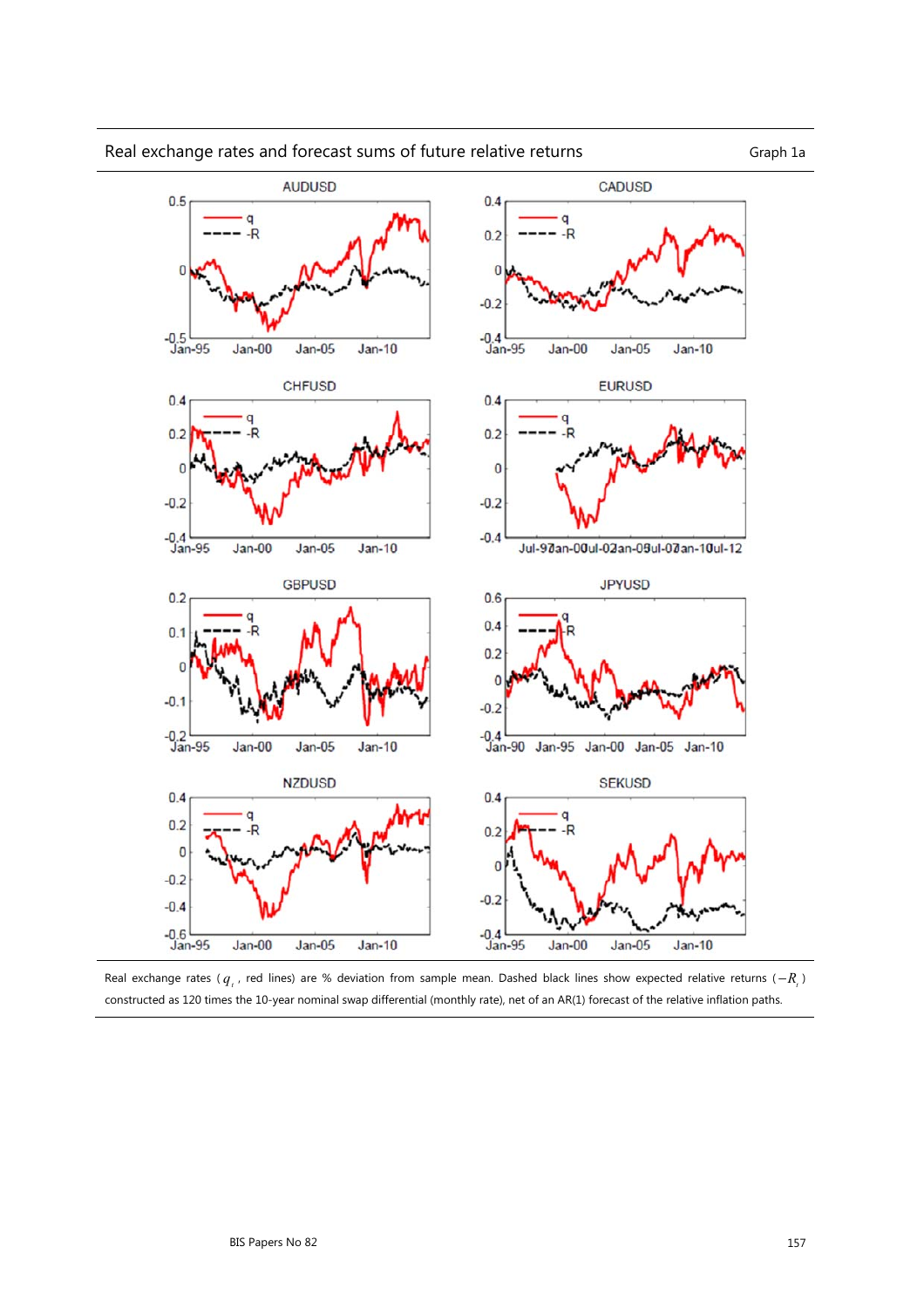

Real exchange rates and forecast sums of future relative returns Graph 1a

Real exchange rates ( $q_t$ , red lines) are % deviation from sample mean. Dashed black lines show expected relative returns (- $R_t$ ) constructed as 120 times the 10-year nominal swap differential (monthly rate), net of an AR(1) forecast of the relative inflation paths.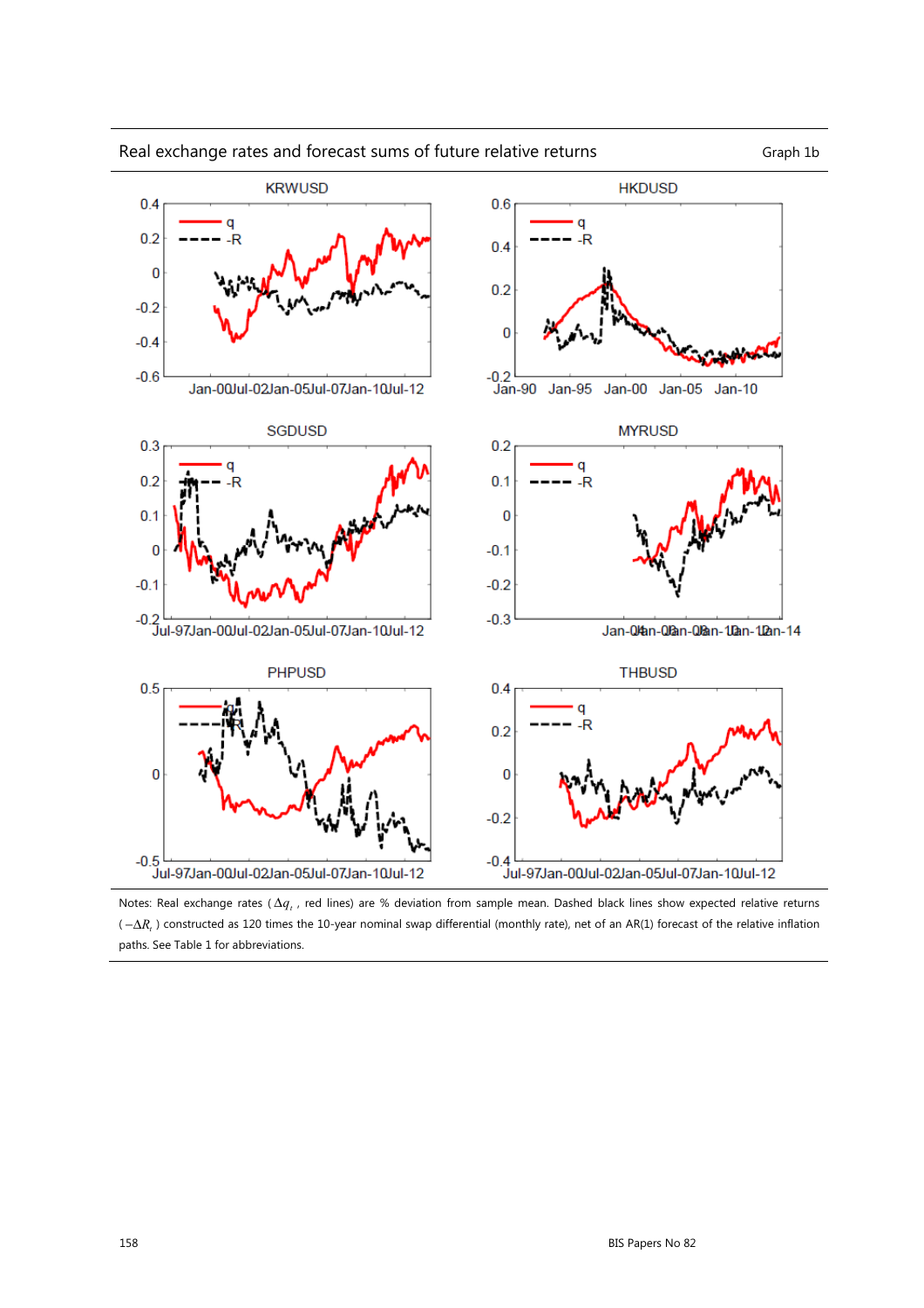

Real exchange rates and forecast sums of future relative returns Graph 1b

Notes: Real exchange rates (Δ $q_t$ , red lines) are % deviation from sample mean. Dashed black lines show expected relative returns ( −Δ*Rt* ) constructed as 120 times the 10-year nominal swap differential (monthly rate), net of an AR(1) forecast of the relative inflation paths. See Table 1 for abbreviations.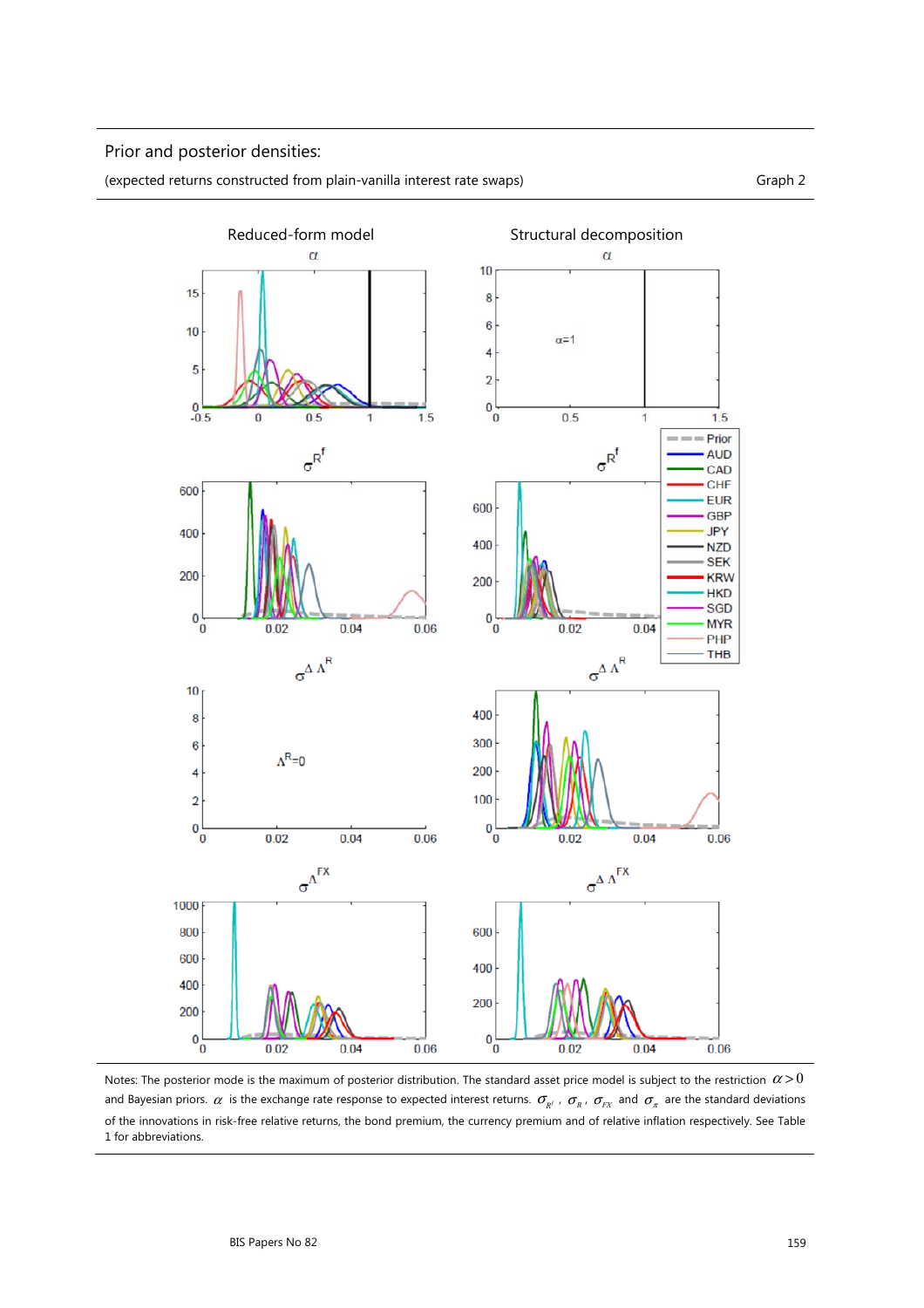

Notes: The posterior mode is the maximum of posterior distribution. The standard asset price model is subject to the restriction  $\alpha$  > 0 and Bayesian priors.  $\alpha$  is the exchange rate response to expected interest returns.  $\sigma_{p}$ ,  $\sigma_{r}$ ,  $\sigma_{rx}$  and  $\sigma_{\pi}$  are the standard deviations of the innovations in risk-free relative returns, the bond premium, the currency premium and of relative inflation respectively. See Table 1 for abbreviations.

### Prior and posterior densities:

(expected returns constructed from plain-vanilla interest rate swaps) Graph 2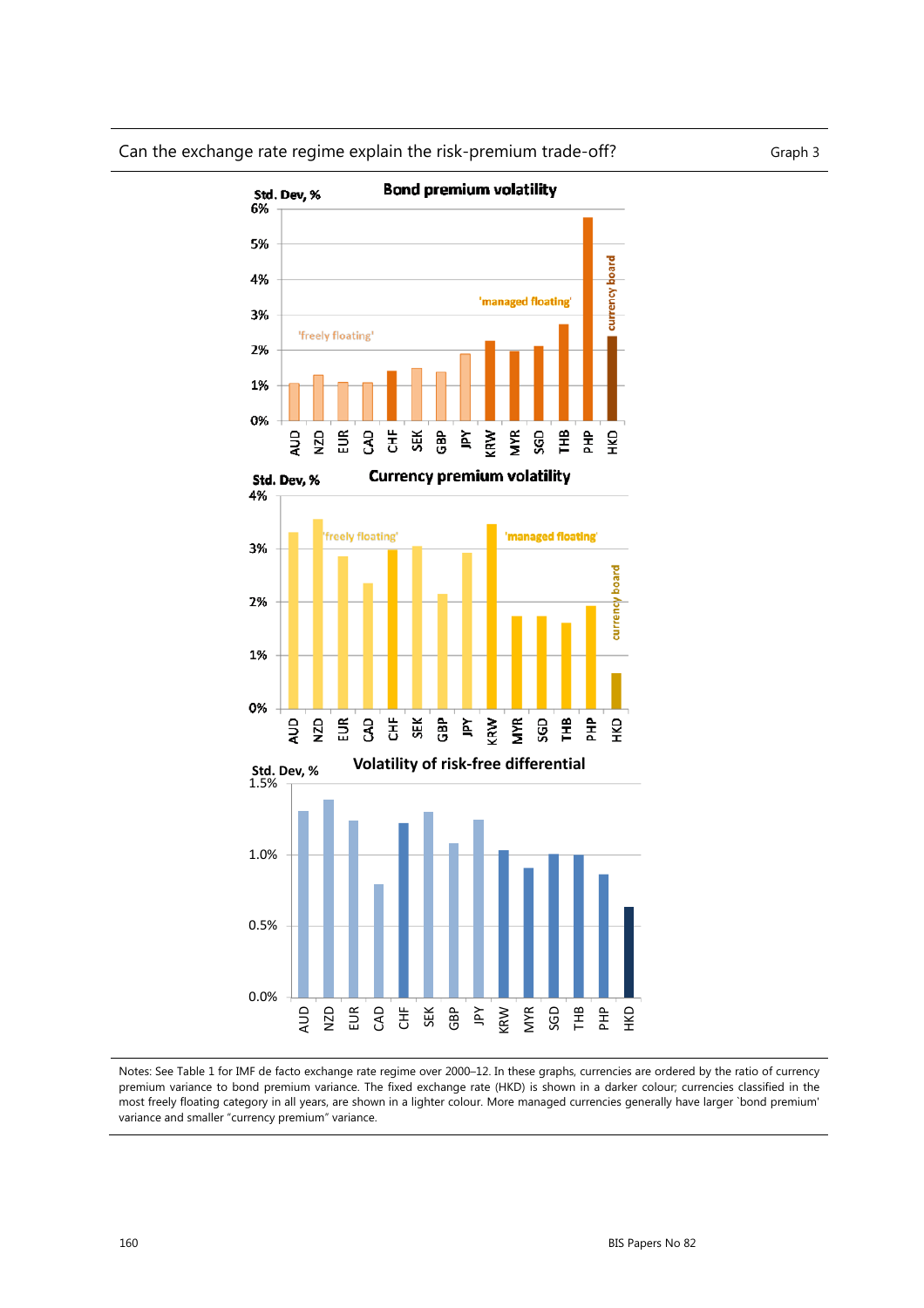

Can the exchange rate regime explain the risk-premium trade-off? Graph 3

Notes: See Table 1 for IMF de facto exchange rate regime over 2000–12. In these graphs, currencies are ordered by the ratio of currency premium variance to bond premium variance. The fixed exchange rate (HKD) is shown in a darker colour; currencies classified in the most freely floating category in all years, are shown in a lighter colour. More managed currencies generally have larger `bond premium' variance and smaller "currency premium" variance.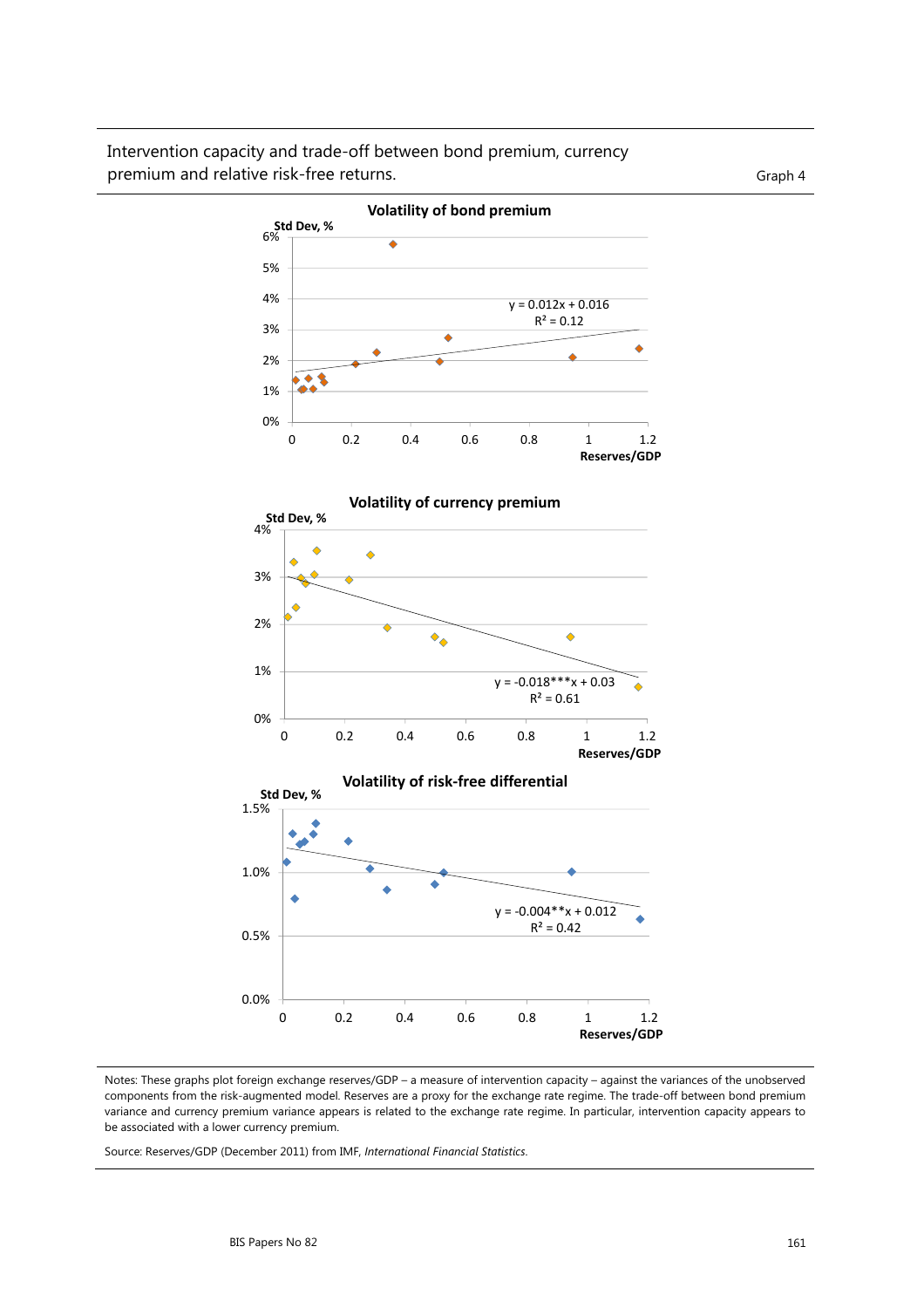Intervention capacity and trade-off between bond premium, currency premium and relative risk-free returns. The state of the control of the Graph 4



Notes: These graphs plot foreign exchange reserves/GDP – a measure of intervention capacity – against the variances of the unobserved components from the risk-augmented model. Reserves are a proxy for the exchange rate regime. The trade-off between bond premium variance and currency premium variance appears is related to the exchange rate regime. In particular, intervention capacity appears to be associated with a lower currency premium.

Source: Reserves/GDP (December 2011) from IMF, *International Financial Statistics*.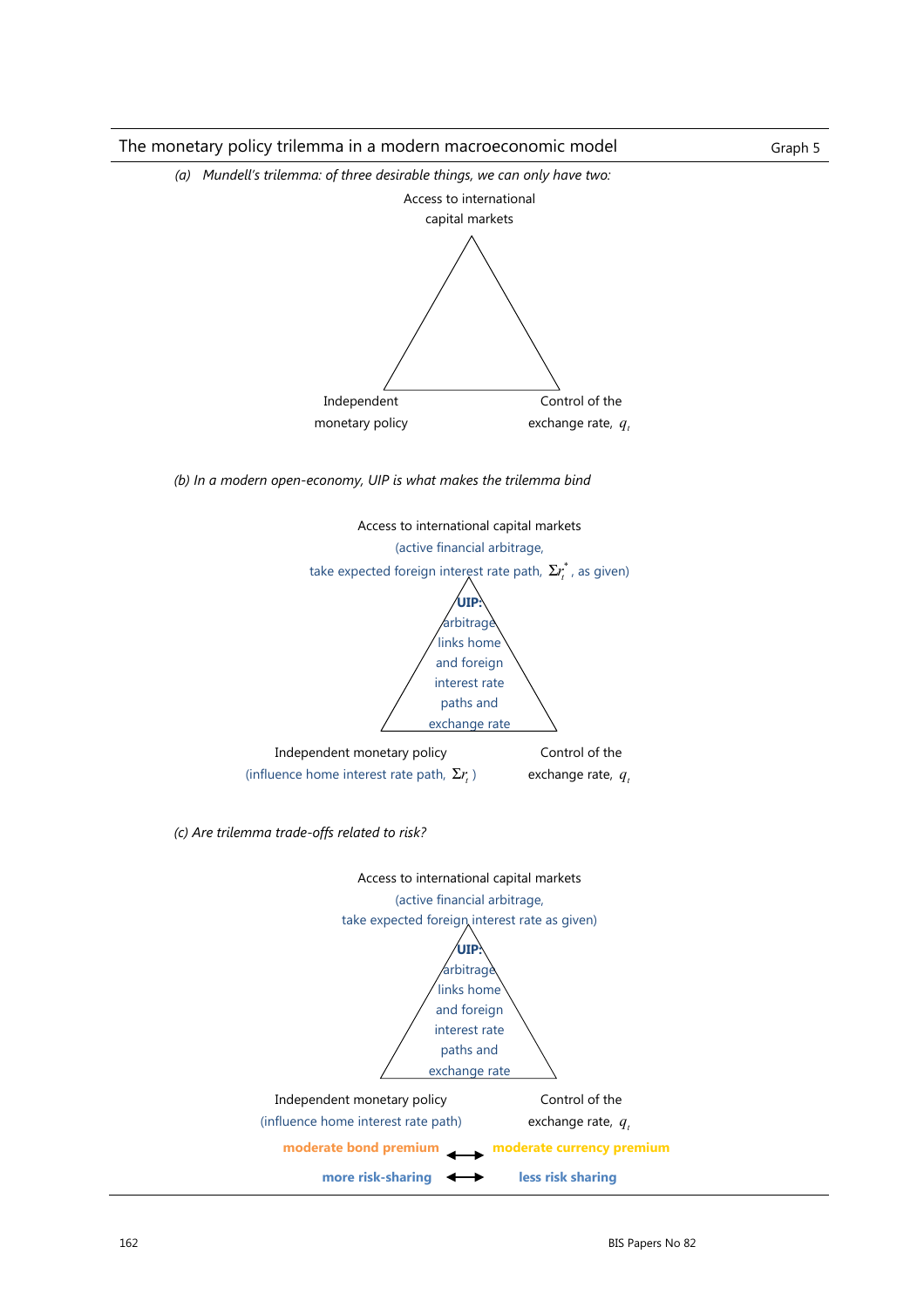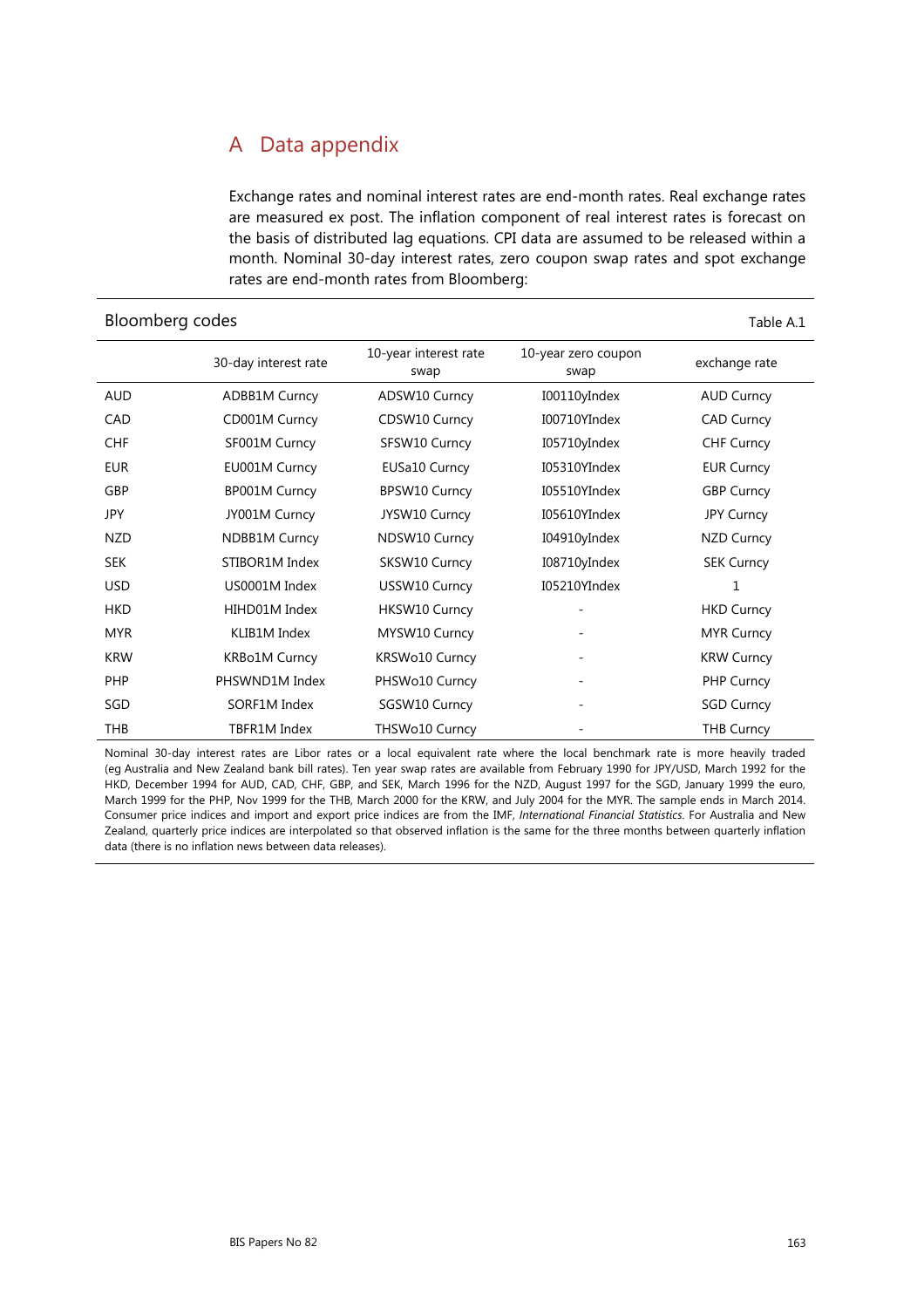## A Data appendix

Exchange rates and nominal interest rates are end-month rates. Real exchange rates are measured ex post. The inflation component of real interest rates is forecast on the basis of distributed lag equations. CPI data are assumed to be released within a month. Nominal 30-day interest rates, zero coupon swap rates and spot exchange rates are end-month rates from Bloomberg:

| Bloomberg codes<br>Table A.1 |                      |                               |                             |                   |  |  |  |
|------------------------------|----------------------|-------------------------------|-----------------------------|-------------------|--|--|--|
|                              | 30-day interest rate | 10-year interest rate<br>swap | 10-year zero coupon<br>swap | exchange rate     |  |  |  |
| <b>AUD</b>                   | ADBB1M Curncy        | ADSW10 Curncy                 | I00110yIndex                | AUD Curncy        |  |  |  |
| CAD                          | CD001M Curncy        | CDSW10 Curncy                 | I00710YIndex                | <b>CAD Curncy</b> |  |  |  |
| <b>CHF</b>                   | SF001M Curncy        | SFSW10 Curncy                 | I05710yIndex                | <b>CHF Curncy</b> |  |  |  |
| <b>EUR</b>                   | EU001M Curncy        | EUSa10 Curncy                 | I05310YIndex                | <b>EUR Curncy</b> |  |  |  |
| GBP                          | BP001M Curncy        | BPSW10 Curncy                 | I05510YIndex                | <b>GBP Curncy</b> |  |  |  |
| JPY                          | JY001M Curncy        | JYSW10 Curncy                 | I05610YIndex                | <b>JPY Curncy</b> |  |  |  |
| <b>NZD</b>                   | NDBB1M Curncy        | NDSW10 Curncy                 | I04910yIndex                | NZD Curncy        |  |  |  |
| <b>SEK</b>                   | STIBOR1M Index       | SKSW10 Curncy                 | I08710yIndex                | <b>SEK Curncy</b> |  |  |  |
| <b>USD</b>                   | US0001M Index        | USSW10 Curncy                 | I05210YIndex                | 1                 |  |  |  |
| <b>HKD</b>                   | HIHD01M Index        | HKSW10 Curncy                 |                             | <b>HKD Curncy</b> |  |  |  |
| <b>MYR</b>                   | KLIB1M Index         | MYSW10 Curncy                 |                             | <b>MYR Curncy</b> |  |  |  |
| <b>KRW</b>                   | KRBo1M Curncy        | KRSWo10 Curncy                |                             | <b>KRW Curncy</b> |  |  |  |
| PHP                          | PHSWND1M Index       | PHSWo10 Curncy                |                             | PHP Curncy        |  |  |  |
| SGD                          | SORF1M Index         | SGSW10 Curncy                 |                             | <b>SGD Curncy</b> |  |  |  |
| THB                          | TBFR1M Index         | THSWo10 Curncy                |                             | <b>THB Curncy</b> |  |  |  |

Nominal 30-day interest rates are Libor rates or a local equivalent rate where the local benchmark rate is more heavily traded (eg Australia and New Zealand bank bill rates). Ten year swap rates are available from February 1990 for JPY/USD, March 1992 for the HKD, December 1994 for AUD, CAD, CHF, GBP, and SEK, March 1996 for the NZD, August 1997 for the SGD, January 1999 the euro, March 1999 for the PHP, Nov 1999 for the THB, March 2000 for the KRW, and July 2004 for the MYR. The sample ends in March 2014. Consumer price indices and import and export price indices are from the IMF, *International Financial Statistics*. For Australia and New Zealand, quarterly price indices are interpolated so that observed inflation is the same for the three months between quarterly inflation data (there is no inflation news between data releases).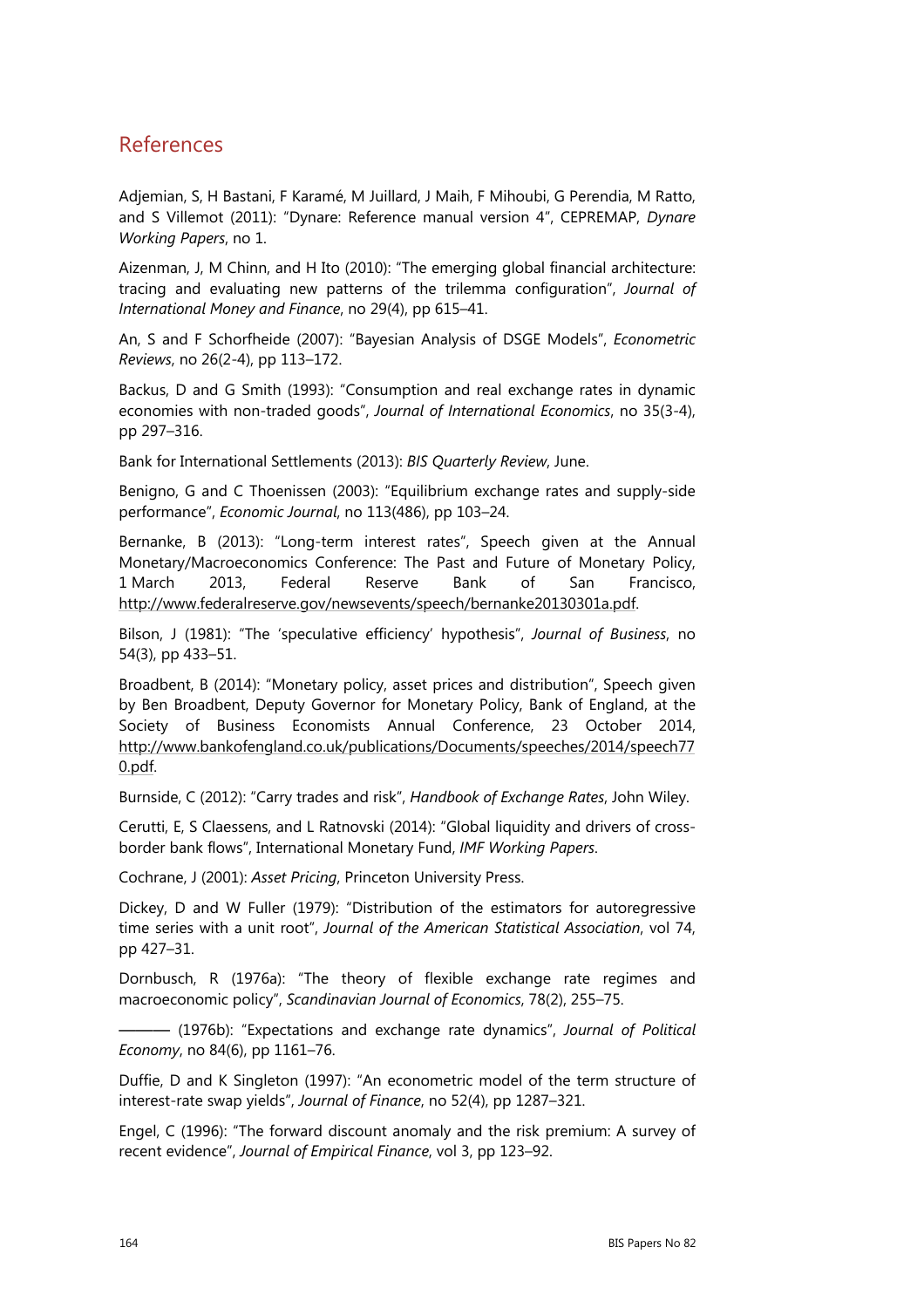## References

Adjemian, S, H Bastani, F Karamé, M Juillard, J Maih, F Mihoubi, G Perendia, M Ratto, and S Villemot (2011): "Dynare: Reference manual version 4", CEPREMAP, *Dynare Working Papers*, no 1.

Aizenman, J, M Chinn, and H Ito (2010): "The emerging global financial architecture: tracing and evaluating new patterns of the trilemma configuration", *Journal of International Money and Finance*, no 29(4), pp 615–41.

An, S and F Schorfheide (2007): "Bayesian Analysis of DSGE Models", *Econometric Reviews*, no 26(2-4), pp 113–172.

Backus, D and G Smith (1993): "Consumption and real exchange rates in dynamic economies with non-traded goods", *Journal of International Economics*, no 35(3-4), pp 297–316.

Bank for International Settlements (2013): *BIS Quarterly Review*, June.

Benigno, G and C Thoenissen (2003): "Equilibrium exchange rates and supply-side performance", *Economic Journal*, no 113(486), pp 103–24.

Bernanke, B (2013): "Long-term interest rates", Speech given at the Annual Monetary/Macroeconomics Conference: The Past and Future of Monetary Policy, 1 March 2013, Federal Reserve Bank of San Francisco, http://www.federalreserve.gov/newsevents/speech/bernanke20130301a.pdf.

Bilson, J (1981): "The 'speculative efficiency' hypothesis", *Journal of Business*, no 54(3), pp 433–51.

Broadbent, B (2014): "Monetary policy, asset prices and distribution", Speech given by Ben Broadbent, Deputy Governor for Monetary Policy, Bank of England, at the Society of Business Economists Annual Conference, 23 October 2014, http://www.bankofengland.co.uk/publications/Documents/speeches/2014/speech77 0.pdf.

Burnside, C (2012): "Carry trades and risk", *Handbook of Exchange Rates*, John Wiley.

Cerutti, E, S Claessens, and L Ratnovski (2014): "Global liquidity and drivers of crossborder bank flows", International Monetary Fund, *IMF Working Papers*.

Cochrane, J (2001): *Asset Pricing*, Princeton University Press.

Dickey, D and W Fuller (1979): "Distribution of the estimators for autoregressive time series with a unit root", *Journal of the American Statistical Association*, vol 74, pp 427–31.

Dornbusch, R (1976a): "The theory of flexible exchange rate regimes and macroeconomic policy", *Scandinavian Journal of Economics*, 78(2), 255–75.

——— (1976b): "Expectations and exchange rate dynamics", *Journal of Political Economy*, no 84(6), pp 1161–76.

Duffie, D and K Singleton (1997): "An econometric model of the term structure of interest-rate swap yields", *Journal of Finance*, no 52(4), pp 1287–321.

Engel, C (1996): "The forward discount anomaly and the risk premium: A survey of recent evidence", *Journal of Empirical Finance*, vol 3, pp 123–92.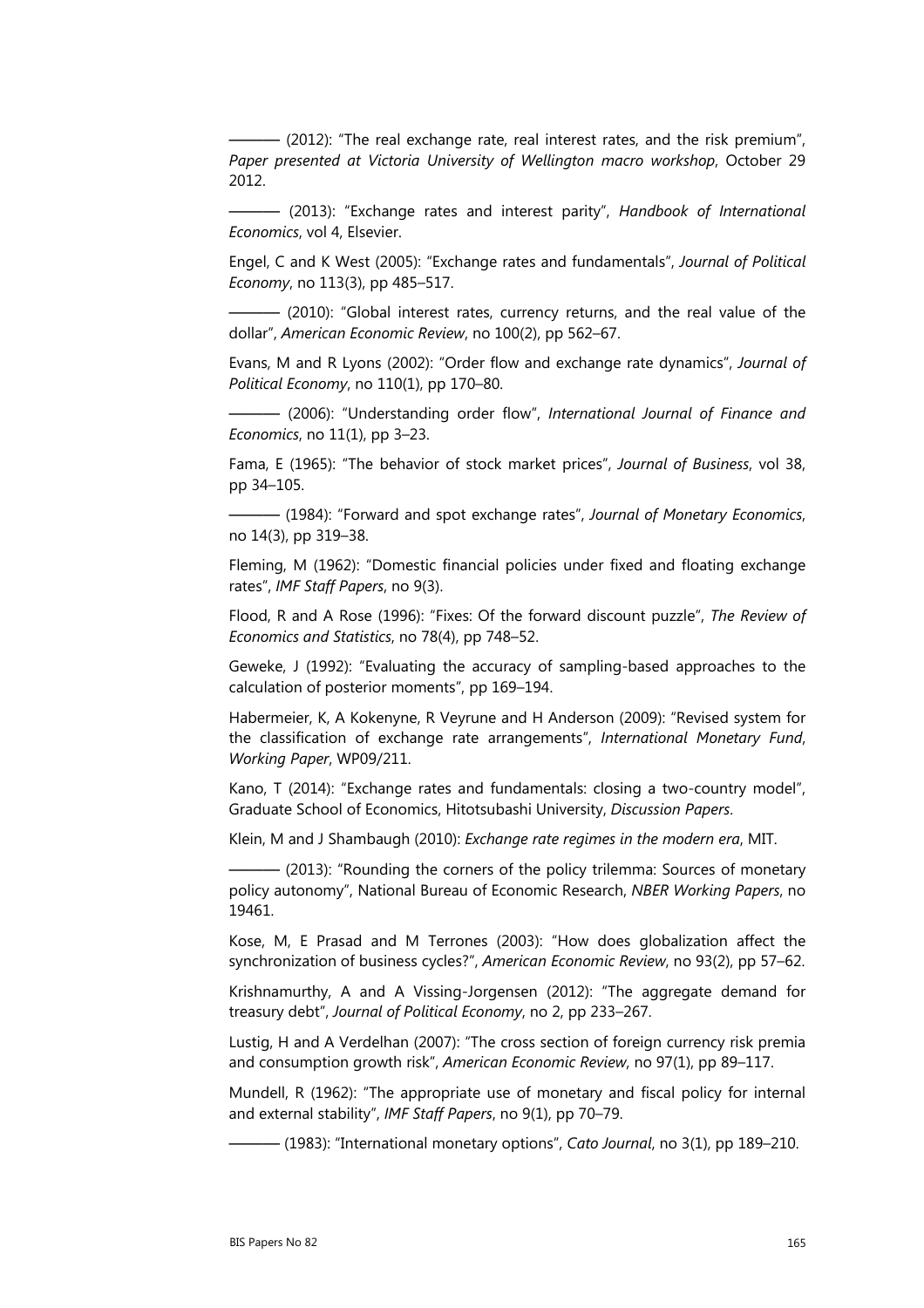- (2012): "The real exchange rate, real interest rates, and the risk premium", *Paper presented at Victoria University of Wellington macro workshop*, October 29 2012.

——— (2013): "Exchange rates and interest parity", *Handbook of International Economics*, vol 4, Elsevier.

Engel, C and K West (2005): "Exchange rates and fundamentals", *Journal of Political Economy*, no 113(3), pp 485–517.

 $-$  (2010): "Global interest rates, currency returns, and the real value of the dollar", *American Economic Review*, no 100(2), pp 562–67.

Evans, M and R Lyons (2002): "Order flow and exchange rate dynamics", *Journal of Political Economy*, no 110(1), pp 170–80.

——— (2006): "Understanding order flow", *International Journal of Finance and Economics*, no 11(1), pp 3–23.

Fama, E (1965): "The behavior of stock market prices", *Journal of Business*, vol 38, pp 34–105.

——— (1984): "Forward and spot exchange rates", *Journal of Monetary Economics*, no 14(3), pp 319–38.

Fleming, M (1962): "Domestic financial policies under fixed and floating exchange rates", *IMF Staff Papers*, no 9(3).

Flood, R and A Rose (1996): "Fixes: Of the forward discount puzzle", *The Review of Economics and Statistics*, no 78(4), pp 748–52.

Geweke, J (1992): "Evaluating the accuracy of sampling-based approaches to the calculation of posterior moments", pp 169–194.

Habermeier, K, A Kokenyne, R Veyrune and H Anderson (2009): "Revised system for the classification of exchange rate arrangements", *International Monetary Fund*, *Working Paper*, WP09/211.

Kano, T (2014): "Exchange rates and fundamentals: closing a two-country model", Graduate School of Economics, Hitotsubashi University, *Discussion Papers*.

Klein, M and J Shambaugh (2010): *Exchange rate regimes in the modern era*, MIT.

- (2013): "Rounding the corners of the policy trilemma: Sources of monetary policy autonomy", National Bureau of Economic Research, *NBER Working Papers*, no 19461.

Kose, M, E Prasad and M Terrones (2003): "How does globalization affect the synchronization of business cycles?", *American Economic Review*, no 93(2), pp 57–62.

Krishnamurthy, A and A Vissing-Jorgensen (2012): "The aggregate demand for treasury debt", *Journal of Political Economy*, no 2, pp 233–267.

Lustig, H and A Verdelhan (2007): "The cross section of foreign currency risk premia and consumption growth risk", *American Economic Review*, no 97(1), pp 89–117.

Mundell, R (1962): "The appropriate use of monetary and fiscal policy for internal and external stability", *IMF Staff Papers*, no 9(1), pp 70–79.

——— (1983): "International monetary options", *Cato Journal*, no 3(1), pp 189–210.